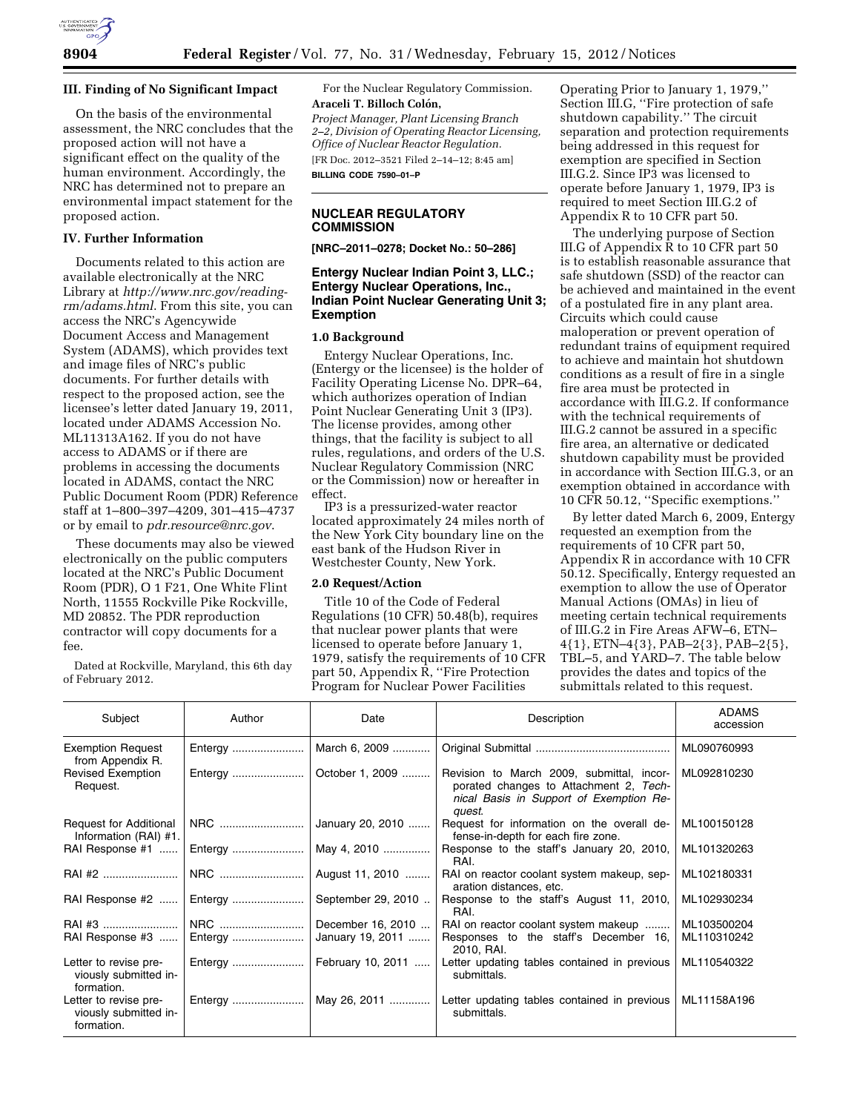

#### **III. Finding of No Significant Impact**

On the basis of the environmental assessment, the NRC concludes that the proposed action will not have a significant effect on the quality of the human environment. Accordingly, the NRC has determined not to prepare an environmental impact statement for the proposed action.

# **IV. Further Information**

Documents related to this action are available electronically at the NRC Library at *[http://www.nrc.gov/reading](http://www.nrc.gov/reading-rm/adams.html)[rm/adams.html](http://www.nrc.gov/reading-rm/adams.html)*. From this site, you can access the NRC's Agencywide Document Access and Management System (ADAMS), which provides text and image files of NRC's public documents. For further details with respect to the proposed action, see the licensee's letter dated January 19, 2011, located under ADAMS Accession No. ML11313A162. If you do not have access to ADAMS or if there are problems in accessing the documents located in ADAMS, contact the NRC Public Document Room (PDR) Reference staff at 1–800–397–4209, 301–415–4737 or by email to *[pdr.resource@nrc.gov](mailto:pdr.resource@nrc.gov)*.

These documents may also be viewed electronically on the public computers located at the NRC's Public Document Room (PDR), O 1 F21, One White Flint North, 11555 Rockville Pike Rockville, MD 20852. The PDR reproduction contractor will copy documents for a fee.

Dated at Rockville, Maryland, this 6th day of February 2012.

For the Nuclear Regulatory Commission. Araceli T. Billoch Colón, *Project Manager, Plant Licensing Branch 2–2, Division of Operating Reactor Licensing, Office of Nuclear Reactor Regulation.*  [FR Doc. 2012–3521 Filed 2–14–12; 8:45 am] **BILLING CODE 7590–01–P** 

## **NUCLEAR REGULATORY COMMISSION**

**[NRC–2011–0278; Docket No.: 50–286]** 

# **Entergy Nuclear Indian Point 3, LLC.; Entergy Nuclear Operations, Inc., Indian Point Nuclear Generating Unit 3; Exemption**

## **1.0 Background**

Entergy Nuclear Operations, Inc. (Entergy or the licensee) is the holder of Facility Operating License No. DPR–64, which authorizes operation of Indian Point Nuclear Generating Unit 3 (IP3). The license provides, among other things, that the facility is subject to all rules, regulations, and orders of the U.S. Nuclear Regulatory Commission (NRC or the Commission) now or hereafter in effect.

IP3 is a pressurized-water reactor located approximately 24 miles north of the New York City boundary line on the east bank of the Hudson River in Westchester County, New York.

# **2.0 Request/Action**

Title 10 of the Code of Federal Regulations (10 CFR) 50.48(b), requires that nuclear power plants that were licensed to operate before January 1, 1979, satisfy the requirements of 10 CFR part 50, Appendix R, ''Fire Protection Program for Nuclear Power Facilities

Operating Prior to January 1, 1979,'' Section III.G, "Fire protection of safe shutdown capability.'' The circuit separation and protection requirements being addressed in this request for exemption are specified in Section III.G.2. Since IP3 was licensed to operate before January 1, 1979, IP3 is required to meet Section III.G.2 of Appendix R to 10 CFR part 50.

The underlying purpose of Section III.G of Appendix R to 10 CFR part 50 is to establish reasonable assurance that safe shutdown (SSD) of the reactor can be achieved and maintained in the event of a postulated fire in any plant area. Circuits which could cause maloperation or prevent operation of redundant trains of equipment required to achieve and maintain hot shutdown conditions as a result of fire in a single fire area must be protected in accordance with III.G.2. If conformance with the technical requirements of III.G.2 cannot be assured in a specific fire area, an alternative or dedicated shutdown capability must be provided in accordance with Section III.G.3, or an exemption obtained in accordance with 10 CFR 50.12, ''Specific exemptions.''

By letter dated March 6, 2009, Entergy requested an exemption from the requirements of 10 CFR part 50, Appendix R in accordance with 10 CFR 50.12. Specifically, Entergy requested an exemption to allow the use of Operator Manual Actions (OMAs) in lieu of meeting certain technical requirements of III.G.2 in Fire Areas AFW–6, ETN– 4{1}, ETN–4{3}, PAB–2{3}, PAB–2{5}, TBL–5, and YARD–7. The table below provides the dates and topics of the submittals related to this request.

| Subject                                                      | Author  | Date               | Description                                                                                                                              | <b>ADAMS</b><br>accession |
|--------------------------------------------------------------|---------|--------------------|------------------------------------------------------------------------------------------------------------------------------------------|---------------------------|
| <b>Exemption Request</b><br>from Appendix R.                 | Entergy | March 6, 2009      |                                                                                                                                          | ML090760993               |
| <b>Revised Exemption</b><br>Request.                         | Entergy | October 1, 2009    | Revision to March 2009, submittal, incor-<br>porated changes to Attachment 2, Tech-<br>nical Basis in Support of Exemption Re-<br>auest. | ML092810230               |
| Request for Additional<br>Information (RAI) #1.              | NRC     | January 20, 2010   | Request for information on the overall de-<br>fense-in-depth for each fire zone.                                                         | ML100150128               |
| RAI Response #1                                              | Entergy | May 4, 2010        | Response to the staff's January 20, 2010,<br>RAI.                                                                                        | ML101320263               |
|                                                              |         | August 11, 2010    | RAI on reactor coolant system makeup, sep-<br>aration distances, etc.                                                                    | ML102180331               |
| RAI Response #2                                              | Entergy | September 29, 2010 | Response to the staff's August 11, 2010,<br>RAI.                                                                                         | ML102930234               |
| RAI #3                                                       | NRC     | December 16, 2010  | RAI on reactor coolant system makeup                                                                                                     | ML103500204               |
| RAI Response #3                                              | Entergy | January 19, 2011   | Responses to the staff's December 16,<br>2010, RAI.                                                                                      | ML110310242               |
| Letter to revise pre-<br>viously submitted in-<br>formation. | Entergy | February 10, 2011  | Letter updating tables contained in previous<br>submittals.                                                                              | ML110540322               |
| Letter to revise pre-<br>viously submitted in-<br>formation. | Entergy | May 26, 2011       | Letter updating tables contained in previous<br>submittals.                                                                              | ML11158A196               |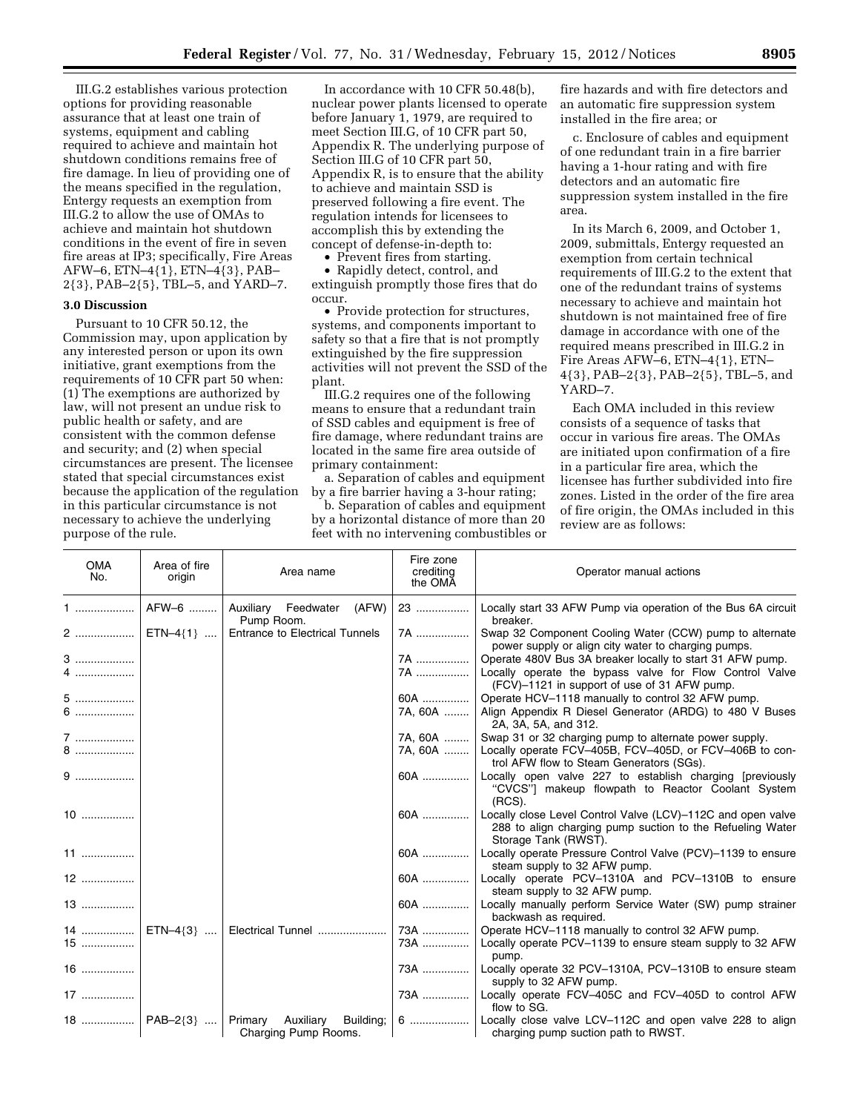III.G.2 establishes various protection options for providing reasonable assurance that at least one train of systems, equipment and cabling required to achieve and maintain hot shutdown conditions remains free of fire damage. In lieu of providing one of the means specified in the regulation, Entergy requests an exemption from III.G.2 to allow the use of OMAs to achieve and maintain hot shutdown conditions in the event of fire in seven fire areas at IP3; specifically, Fire Areas AFW–6, ETN–4{1}, ETN–4{3}, PAB– 2{3}, PAB–2{5}, TBL–5, and YARD–7.

#### **3.0 Discussion**

Pursuant to 10 CFR 50.12, the Commission may, upon application by any interested person or upon its own initiative, grant exemptions from the requirements of 10 CFR part 50 when: (1) The exemptions are authorized by law, will not present an undue risk to public health or safety, and are consistent with the common defense and security; and (2) when special circumstances are present. The licensee stated that special circumstances exist because the application of the regulation in this particular circumstance is not necessary to achieve the underlying purpose of the rule.

In accordance with 10 CFR 50.48(b), nuclear power plants licensed to operate before January 1, 1979, are required to meet Section III.G, of 10 CFR part 50, Appendix R. The underlying purpose of Section III.G of 10 CFR part 50, Appendix R, is to ensure that the ability to achieve and maintain SSD is preserved following a fire event. The regulation intends for licensees to accomplish this by extending the concept of defense-in-depth to:

• Prevent fires from starting.

• Rapidly detect, control, and extinguish promptly those fires that do occur.

• Provide protection for structures, systems, and components important to safety so that a fire that is not promptly extinguished by the fire suppression activities will not prevent the SSD of the plant.

III.G.2 requires one of the following means to ensure that a redundant train of SSD cables and equipment is free of fire damage, where redundant trains are located in the same fire area outside of primary containment:

a. Separation of cables and equipment by a fire barrier having a 3-hour rating;

b. Separation of cables and equipment by a horizontal distance of more than 20 feet with no intervening combustibles or

fire hazards and with fire detectors and an automatic fire suppression system installed in the fire area; or

c. Enclosure of cables and equipment of one redundant train in a fire barrier having a 1-hour rating and with fire detectors and an automatic fire suppression system installed in the fire area.

In its March 6, 2009, and October 1, 2009, submittals, Entergy requested an exemption from certain technical requirements of III.G.2 to the extent that one of the redundant trains of systems necessary to achieve and maintain hot shutdown is not maintained free of fire damage in accordance with one of the required means prescribed in III.G.2 in Fire Areas AFW–6, ETN–4{1}, ETN– 4{3}, PAB–2{3}, PAB–2{5}, TBL–5, and YARD–7.

Each OMA included in this review consists of a sequence of tasks that occur in various fire areas. The OMAs are initiated upon confirmation of a fire in a particular fire area, which the licensee has further subdivided into fire zones. Listed in the order of the fire area of fire origin, the OMAs included in this review are as follows:

| <b>OMA</b><br>No. | Area of fire<br>origin    | Area name                                       | Fire zone<br>crediting<br>the OMA | Operator manual actions                                                                                                                          |
|-------------------|---------------------------|-------------------------------------------------|-----------------------------------|--------------------------------------------------------------------------------------------------------------------------------------------------|
|                   | 1    AFW-6                | Auxiliary Feedwater<br>(AFW)<br>Pump Room.      |                                   | 23  Locally start 33 AFW Pump via operation of the Bus 6A circuit<br>breaker.                                                                    |
|                   |                           | 2    ETN-4{1}    Entrance to Electrical Tunnels | 7A                                | Swap 32 Component Cooling Water (CCW) pump to alternate<br>power supply or align city water to charging pumps.                                   |
| $3$               |                           |                                                 | 7A                                | Operate 480V Bus 3A breaker locally to start 31 AFW pump.                                                                                        |
| $4$               |                           |                                                 | 7A                                | Locally operate the bypass valve for Flow Control Valve<br>(FCV)-1121 in support of use of 31 AFW pump.                                          |
| $5$               |                           |                                                 | 60A                               | Operate HCV-1118 manually to control 32 AFW pump.                                                                                                |
| $6$               |                           |                                                 | 7A, 60A                           | Align Appendix R Diesel Generator (ARDG) to 480 V Buses<br>2A, 3A, 5A, and 312.                                                                  |
| 7                 |                           |                                                 | 7A, 60A                           | Swap 31 or 32 charging pump to alternate power supply.                                                                                           |
| 8                 |                           |                                                 |                                   | 7A, 60A    Locally operate FCV-405B, FCV-405D, or FCV-406B to con-<br>trol AFW flow to Steam Generators (SGs).                                   |
| $9$               |                           |                                                 | 60A                               | Locally open valve 227 to establish charging [previously<br>"CVCS"] makeup flowpath to Reactor Coolant System<br>$(RCS)$ .                       |
| 10                |                           |                                                 |                                   | Locally close Level Control Valve (LCV)-112C and open valve<br>288 to align charging pump suction to the Refueling Water<br>Storage Tank (RWST). |
| $11$              |                           |                                                 |                                   | Locally operate Pressure Control Valve (PCV)-1139 to ensure<br>steam supply to 32 AFW pump.                                                      |
| 12                |                           |                                                 | 60A                               | Locally operate PCV-1310A and PCV-1310B to ensure<br>steam supply to 32 AFW pump.                                                                |
| 13                |                           |                                                 | 60A                               | Locally manually perform Service Water (SW) pump strainer<br>backwash as required.                                                               |
|                   | 14    ETN-4{3}            | Electrical Tunnel                               | 73A                               | Operate HCV-1118 manually to control 32 AFW pump.                                                                                                |
| $15$              |                           |                                                 | 73A                               | Locally operate PCV-1139 to ensure steam supply to 32 AFW<br>pump.                                                                               |
| $16$              |                           |                                                 | 73A                               | Locally operate 32 PCV-1310A, PCV-1310B to ensure steam<br>supply to 32 AFW pump.                                                                |
| $17$              |                           |                                                 | 73A                               | Locally operate FCV-405C and FCV-405D to control AFW<br>flow to SG.                                                                              |
|                   | 18    PAB-2{3}    Primary | Auxiliary<br>Building:<br>Charging Pump Rooms.  |                                   | Locally close valve LCV-112C and open valve 228 to align<br>charging pump suction path to RWST.                                                  |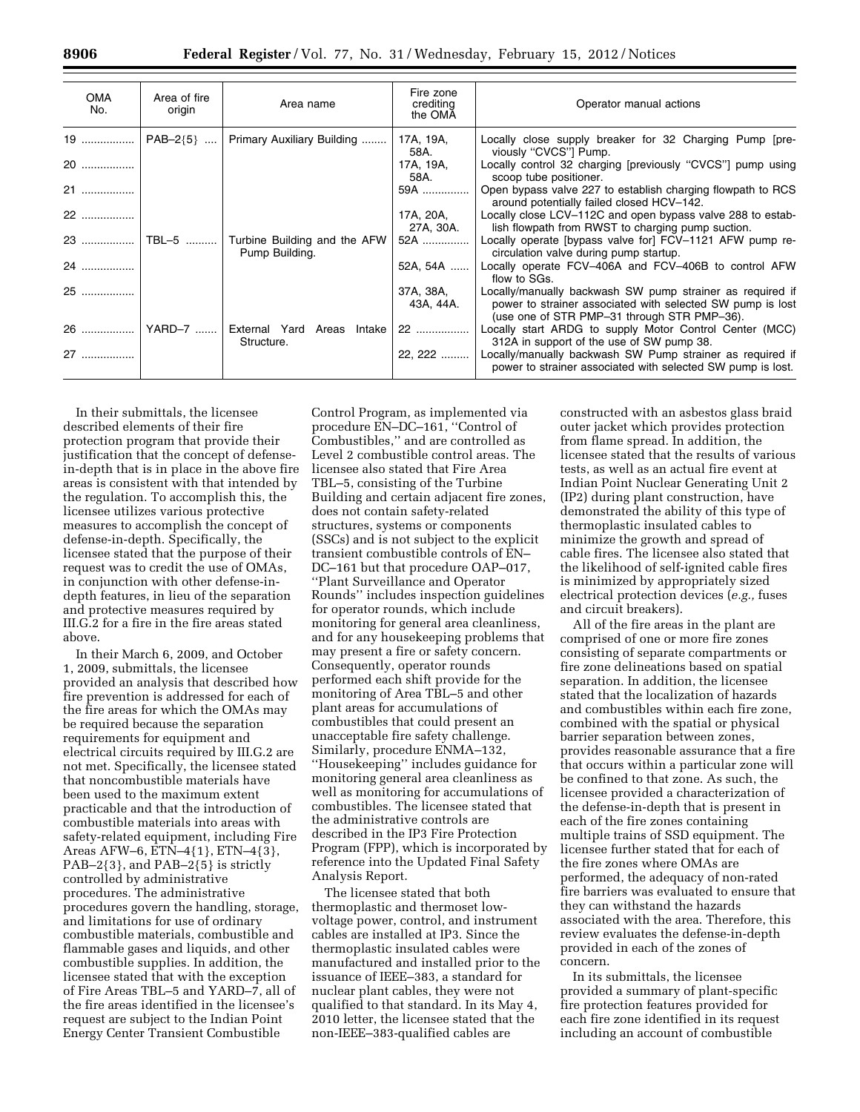| <b>OMA</b><br>No. | Area of fire<br>origin | Area name                                             | Fire zone<br>crediting<br>the OMA | Operator manual actions                                                                                                                                                |
|-------------------|------------------------|-------------------------------------------------------|-----------------------------------|------------------------------------------------------------------------------------------------------------------------------------------------------------------------|
|                   |                        | 19    PAB-2{5}    Primary Auxiliary Building          | 17A, 19A,<br>58A.                 | Locally close supply breaker for 32 Charging Pump [pre-<br>viously "CVCS"] Pump.                                                                                       |
| 20                |                        |                                                       | 17A, 19A,<br>58A.                 | Locally control 32 charging [previously "CVCS"] pump using<br>scoop tube positioner.                                                                                   |
| 21                |                        |                                                       | 59A                               | Open bypass valve 227 to establish charging flowpath to RCS<br>around potentially failed closed HCV-142.                                                               |
| 22                |                        |                                                       | 17A, 20A,<br>27A, 30A.            | Locally close LCV-112C and open bypass valve 288 to estab-<br>lish flowpath from RWST to charging pump suction.                                                        |
|                   |                        | TBL-5  Turbine Building and the AFW<br>Pump Building. | 52A                               | Locally operate [bypass valve for] FCV-1121 AFW pump re-<br>circulation valve during pump startup.                                                                     |
| 24                |                        |                                                       | 52A, 54A                          | Locally operate FCV-406A and FCV-406B to control AFW<br>flow to SGs.                                                                                                   |
| 25                |                        |                                                       | 37A, 38A,<br>43A, 44A.            | Locally/manually backwash SW pump strainer as required if<br>power to strainer associated with selected SW pump is lost<br>(use one of STR PMP-31 through STR PMP-36). |
|                   | YARD-7                 | External Yard Areas<br>Intake<br>Structure.           | 22                                | Locally start ARDG to supply Motor Control Center (MCC)<br>312A in support of the use of SW pump 38.                                                                   |
| 27                |                        |                                                       | 22, 222                           | Locally/manually backwash SW Pump strainer as required if<br>power to strainer associated with selected SW pump is lost.                                               |

In their submittals, the licensee described elements of their fire protection program that provide their justification that the concept of defensein-depth that is in place in the above fire areas is consistent with that intended by the regulation. To accomplish this, the licensee utilizes various protective measures to accomplish the concept of defense-in-depth. Specifically, the licensee stated that the purpose of their request was to credit the use of OMAs, in conjunction with other defense-indepth features, in lieu of the separation and protective measures required by III.G.2 for a fire in the fire areas stated above.

In their March 6, 2009, and October 1, 2009, submittals, the licensee provided an analysis that described how fire prevention is addressed for each of the fire areas for which the OMAs may be required because the separation requirements for equipment and electrical circuits required by III.G.2 are not met. Specifically, the licensee stated that noncombustible materials have been used to the maximum extent practicable and that the introduction of combustible materials into areas with safety-related equipment, including Fire Areas AFW–6, ETN–4{1}, ETN–4{3}, PAB–2{3}, and PAB–2{5} is strictly controlled by administrative procedures. The administrative procedures govern the handling, storage, and limitations for use of ordinary combustible materials, combustible and flammable gases and liquids, and other combustible supplies. In addition, the licensee stated that with the exception of Fire Areas TBL–5 and YARD–7, all of the fire areas identified in the licensee's request are subject to the Indian Point Energy Center Transient Combustible

Control Program, as implemented via procedure EN–DC–161, ''Control of Combustibles,'' and are controlled as Level 2 combustible control areas. The licensee also stated that Fire Area TBL–5, consisting of the Turbine Building and certain adjacent fire zones, does not contain safety-related structures, systems or components (SSCs) and is not subject to the explicit transient combustible controls of EN– DC–161 but that procedure OAP–017, ''Plant Surveillance and Operator Rounds'' includes inspection guidelines for operator rounds, which include monitoring for general area cleanliness, and for any housekeeping problems that may present a fire or safety concern. Consequently, operator rounds performed each shift provide for the monitoring of Area TBL-5 and other plant areas for accumulations of combustibles that could present an unacceptable fire safety challenge. Similarly, procedure ENMA–132, ''Housekeeping'' includes guidance for monitoring general area cleanliness as well as monitoring for accumulations of combustibles. The licensee stated that the administrative controls are described in the IP3 Fire Protection Program (FPP), which is incorporated by reference into the Updated Final Safety Analysis Report.

The licensee stated that both thermoplastic and thermoset lowvoltage power, control, and instrument cables are installed at IP3. Since the thermoplastic insulated cables were manufactured and installed prior to the issuance of IEEE–383, a standard for nuclear plant cables, they were not qualified to that standard. In its May 4, 2010 letter, the licensee stated that the non-IEEE–383-qualified cables are

constructed with an asbestos glass braid outer jacket which provides protection from flame spread. In addition, the licensee stated that the results of various tests, as well as an actual fire event at Indian Point Nuclear Generating Unit 2 (IP2) during plant construction, have demonstrated the ability of this type of thermoplastic insulated cables to minimize the growth and spread of cable fires. The licensee also stated that the likelihood of self-ignited cable fires is minimized by appropriately sized electrical protection devices (*e.g.,* fuses and circuit breakers).

All of the fire areas in the plant are comprised of one or more fire zones consisting of separate compartments or fire zone delineations based on spatial separation. In addition, the licensee stated that the localization of hazards and combustibles within each fire zone, combined with the spatial or physical barrier separation between zones, provides reasonable assurance that a fire that occurs within a particular zone will be confined to that zone. As such, the licensee provided a characterization of the defense-in-depth that is present in each of the fire zones containing multiple trains of SSD equipment. The licensee further stated that for each of the fire zones where OMAs are performed, the adequacy of non-rated fire barriers was evaluated to ensure that they can withstand the hazards associated with the area. Therefore, this review evaluates the defense-in-depth provided in each of the zones of concern.

In its submittals, the licensee provided a summary of plant-specific fire protection features provided for each fire zone identified in its request including an account of combustible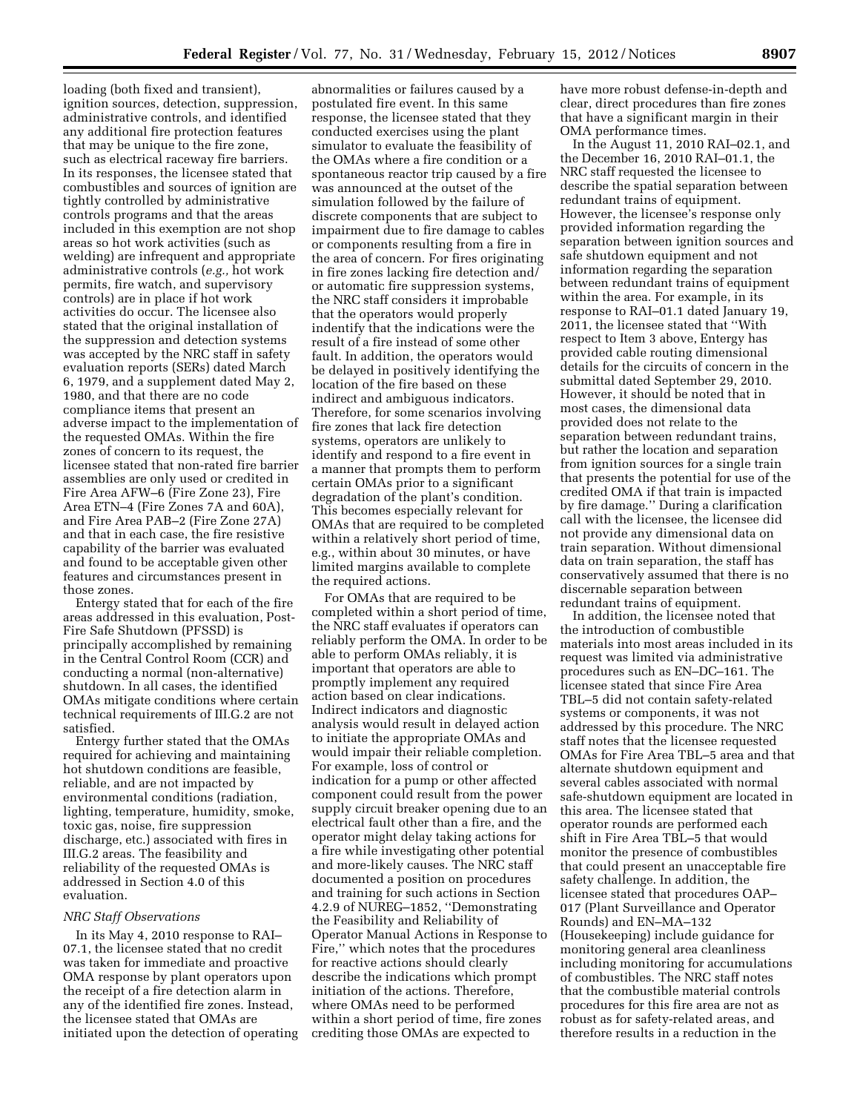loading (both fixed and transient), ignition sources, detection, suppression, administrative controls, and identified any additional fire protection features that may be unique to the fire zone, such as electrical raceway fire barriers. In its responses, the licensee stated that combustibles and sources of ignition are tightly controlled by administrative controls programs and that the areas included in this exemption are not shop areas so hot work activities (such as welding) are infrequent and appropriate administrative controls (*e.g.,* hot work permits, fire watch, and supervisory controls) are in place if hot work activities do occur. The licensee also stated that the original installation of the suppression and detection systems was accepted by the NRC staff in safety evaluation reports (SERs) dated March 6, 1979, and a supplement dated May 2, 1980, and that there are no code compliance items that present an adverse impact to the implementation of the requested OMAs. Within the fire zones of concern to its request, the licensee stated that non-rated fire barrier assemblies are only used or credited in Fire Area AFW–6 (Fire Zone 23), Fire Area ETN–4 (Fire Zones 7A and 60A), and Fire Area PAB–2 (Fire Zone 27A) and that in each case, the fire resistive capability of the barrier was evaluated and found to be acceptable given other features and circumstances present in those zones.

Entergy stated that for each of the fire areas addressed in this evaluation, Post-Fire Safe Shutdown (PFSSD) is principally accomplished by remaining in the Central Control Room (CCR) and conducting a normal (non-alternative) shutdown. In all cases, the identified OMAs mitigate conditions where certain technical requirements of III.G.2 are not satisfied.

Entergy further stated that the OMAs required for achieving and maintaining hot shutdown conditions are feasible, reliable, and are not impacted by environmental conditions (radiation, lighting, temperature, humidity, smoke, toxic gas, noise, fire suppression discharge, etc.) associated with fires in III.G.2 areas. The feasibility and reliability of the requested OMAs is addressed in Section 4.0 of this evaluation.

#### *NRC Staff Observations*

In its May 4, 2010 response to RAI– 07.1, the licensee stated that no credit was taken for immediate and proactive OMA response by plant operators upon the receipt of a fire detection alarm in any of the identified fire zones. Instead, the licensee stated that OMAs are initiated upon the detection of operating

abnormalities or failures caused by a postulated fire event. In this same response, the licensee stated that they conducted exercises using the plant simulator to evaluate the feasibility of the OMAs where a fire condition or a spontaneous reactor trip caused by a fire was announced at the outset of the simulation followed by the failure of discrete components that are subject to impairment due to fire damage to cables or components resulting from a fire in the area of concern. For fires originating in fire zones lacking fire detection and/ or automatic fire suppression systems, the NRC staff considers it improbable that the operators would properly indentify that the indications were the result of a fire instead of some other fault. In addition, the operators would be delayed in positively identifying the location of the fire based on these indirect and ambiguous indicators. Therefore, for some scenarios involving fire zones that lack fire detection systems, operators are unlikely to identify and respond to a fire event in a manner that prompts them to perform certain OMAs prior to a significant degradation of the plant's condition. This becomes especially relevant for OMAs that are required to be completed within a relatively short period of time, e.g., within about 30 minutes, or have limited margins available to complete the required actions.

For OMAs that are required to be completed within a short period of time, the NRC staff evaluates if operators can reliably perform the OMA. In order to be able to perform OMAs reliably, it is important that operators are able to promptly implement any required action based on clear indications. Indirect indicators and diagnostic analysis would result in delayed action to initiate the appropriate OMAs and would impair their reliable completion. For example, loss of control or indication for a pump or other affected component could result from the power supply circuit breaker opening due to an electrical fault other than a fire, and the operator might delay taking actions for a fire while investigating other potential and more-likely causes. The NRC staff documented a position on procedures and training for such actions in Section 4.2.9 of NUREG–1852, ''Demonstrating the Feasibility and Reliability of Operator Manual Actions in Response to Fire,'' which notes that the procedures for reactive actions should clearly describe the indications which prompt initiation of the actions. Therefore, where OMAs need to be performed within a short period of time, fire zones crediting those OMAs are expected to

have more robust defense-in-depth and clear, direct procedures than fire zones that have a significant margin in their OMA performance times.

In the August 11, 2010 RAI–02.1, and the December 16, 2010 RAI–01.1, the NRC staff requested the licensee to describe the spatial separation between redundant trains of equipment. However, the licensee's response only provided information regarding the separation between ignition sources and safe shutdown equipment and not information regarding the separation between redundant trains of equipment within the area. For example, in its response to RAI–01.1 dated January 19, 2011, the licensee stated that ''With respect to Item 3 above, Entergy has provided cable routing dimensional details for the circuits of concern in the submittal dated September 29, 2010. However, it should be noted that in most cases, the dimensional data provided does not relate to the separation between redundant trains, but rather the location and separation from ignition sources for a single train that presents the potential for use of the credited OMA if that train is impacted by fire damage.'' During a clarification call with the licensee, the licensee did not provide any dimensional data on train separation. Without dimensional data on train separation, the staff has conservatively assumed that there is no discernable separation between redundant trains of equipment.

In addition, the licensee noted that the introduction of combustible materials into most areas included in its request was limited via administrative procedures such as EN–DC–161. The licensee stated that since Fire Area TBL–5 did not contain safety-related systems or components, it was not addressed by this procedure. The NRC staff notes that the licensee requested OMAs for Fire Area TBL–5 area and that alternate shutdown equipment and several cables associated with normal safe-shutdown equipment are located in this area. The licensee stated that operator rounds are performed each shift in Fire Area TBL–5 that would monitor the presence of combustibles that could present an unacceptable fire safety challenge. In addition, the licensee stated that procedures OAP– 017 (Plant Surveillance and Operator Rounds) and EN–MA–132 (Housekeeping) include guidance for monitoring general area cleanliness including monitoring for accumulations of combustibles. The NRC staff notes that the combustible material controls procedures for this fire area are not as robust as for safety-related areas, and therefore results in a reduction in the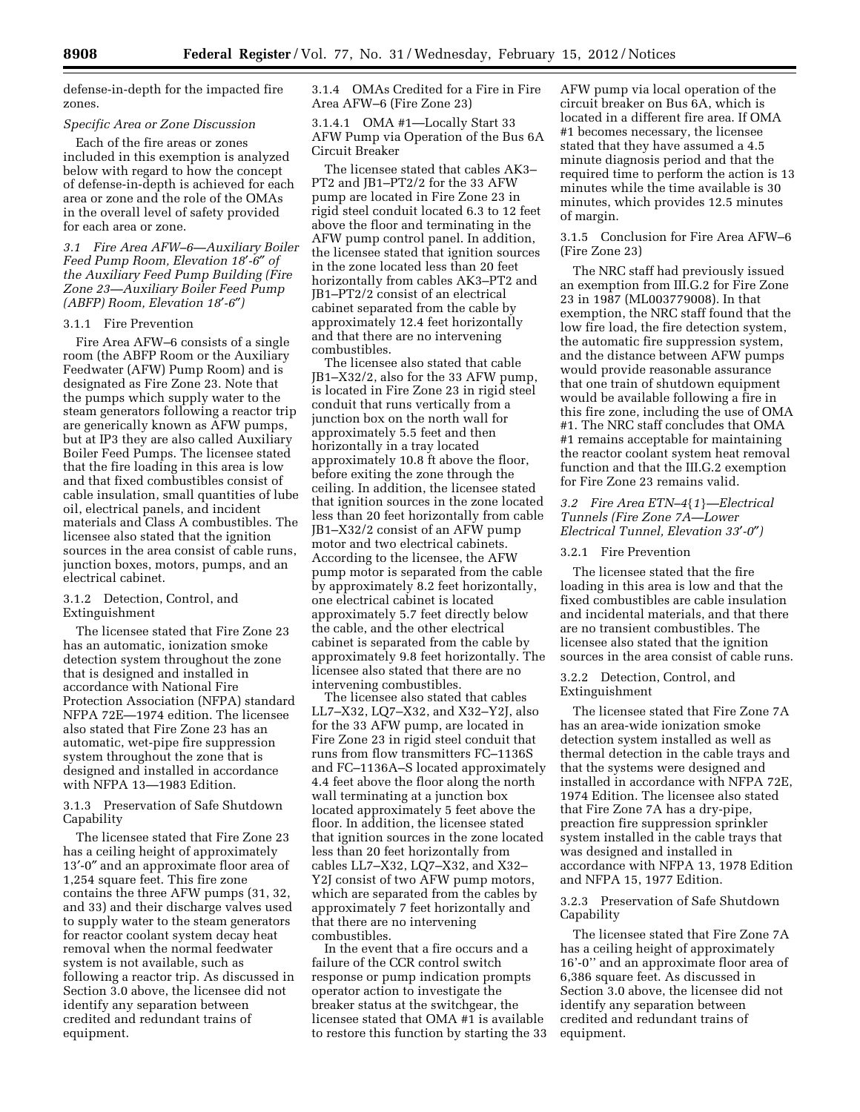defense-in-depth for the impacted fire zones.

## *Specific Area or Zone Discussion*

Each of the fire areas or zones included in this exemption is analyzed below with regard to how the concept of defense-in-depth is achieved for each area or zone and the role of the OMAs in the overall level of safety provided for each area or zone.

*3.1 Fire Area AFW–6—Auxiliary Boiler Feed Pump Room, Elevation 18*′*-6*″ *of the Auxiliary Feed Pump Building (Fire Zone 23—Auxiliary Boiler Feed Pump (ABFP) Room, Elevation 18*′*-6*″*)* 

# 3.1.1 Fire Prevention

Fire Area AFW–6 consists of a single room (the ABFP Room or the Auxiliary Feedwater (AFW) Pump Room) and is designated as Fire Zone 23. Note that the pumps which supply water to the steam generators following a reactor trip are generically known as AFW pumps, but at IP3 they are also called Auxiliary Boiler Feed Pumps. The licensee stated that the fire loading in this area is low and that fixed combustibles consist of cable insulation, small quantities of lube oil, electrical panels, and incident materials and Class A combustibles. The licensee also stated that the ignition sources in the area consist of cable runs, junction boxes, motors, pumps, and an electrical cabinet.

# 3.1.2 Detection, Control, and Extinguishment

The licensee stated that Fire Zone 23 has an automatic, ionization smoke detection system throughout the zone that is designed and installed in accordance with National Fire Protection Association (NFPA) standard NFPA 72E—1974 edition. The licensee also stated that Fire Zone 23 has an automatic, wet-pipe fire suppression system throughout the zone that is designed and installed in accordance with NFPA 13—1983 Edition.

3.1.3 Preservation of Safe Shutdown **Capability** 

The licensee stated that Fire Zone 23 has a ceiling height of approximately 13′-0″ and an approximate floor area of 1,254 square feet. This fire zone contains the three AFW pumps (31, 32, and 33) and their discharge valves used to supply water to the steam generators for reactor coolant system decay heat removal when the normal feedwater system is not available, such as following a reactor trip. As discussed in Section 3.0 above, the licensee did not identify any separation between credited and redundant trains of equipment.

3.1.4 OMAs Credited for a Fire in Fire Area AFW–6 (Fire Zone 23)

3.1.4.1 OMA #1—Locally Start 33 AFW Pump via Operation of the Bus 6A Circuit Breaker

The licensee stated that cables AK3– PT2 and JB1–PT2/2 for the 33 AFW pump are located in Fire Zone 23 in rigid steel conduit located 6.3 to 12 feet above the floor and terminating in the AFW pump control panel. In addition, the licensee stated that ignition sources in the zone located less than 20 feet horizontally from cables AK3–PT2 and JB1–PT2/2 consist of an electrical cabinet separated from the cable by approximately 12.4 feet horizontally and that there are no intervening combustibles.

The licensee also stated that cable JB1–X32/2, also for the 33 AFW pump, is located in Fire Zone 23 in rigid steel conduit that runs vertically from a junction box on the north wall for approximately 5.5 feet and then horizontally in a tray located approximately 10.8 ft above the floor, before exiting the zone through the ceiling. In addition, the licensee stated that ignition sources in the zone located less than 20 feet horizontally from cable JB1–X32/2 consist of an AFW pump motor and two electrical cabinets. According to the licensee, the AFW pump motor is separated from the cable by approximately 8.2 feet horizontally, one electrical cabinet is located approximately 5.7 feet directly below the cable, and the other electrical cabinet is separated from the cable by approximately 9.8 feet horizontally. The licensee also stated that there are no intervening combustibles.

The licensee also stated that cables LL7–X32, LQ7–X32, and X32–Y2J, also for the 33 AFW pump, are located in Fire Zone 23 in rigid steel conduit that runs from flow transmitters FC–1136S and FC–1136A–S located approximately 4.4 feet above the floor along the north wall terminating at a junction box located approximately 5 feet above the floor. In addition, the licensee stated that ignition sources in the zone located less than 20 feet horizontally from cables LL7–X32, LQ7–X32, and X32– Y2J consist of two AFW pump motors, which are separated from the cables by approximately 7 feet horizontally and that there are no intervening combustibles.

In the event that a fire occurs and a failure of the CCR control switch response or pump indication prompts operator action to investigate the breaker status at the switchgear, the licensee stated that OMA #1 is available to restore this function by starting the 33 AFW pump via local operation of the circuit breaker on Bus 6A, which is located in a different fire area. If OMA #1 becomes necessary, the licensee stated that they have assumed a 4.5 minute diagnosis period and that the required time to perform the action is 13 minutes while the time available is 30 minutes, which provides 12.5 minutes of margin.

3.1.5 Conclusion for Fire Area AFW–6 (Fire Zone 23)

The NRC staff had previously issued an exemption from III.G.2 for Fire Zone 23 in 1987 (ML003779008). In that exemption, the NRC staff found that the low fire load, the fire detection system, the automatic fire suppression system, and the distance between AFW pumps would provide reasonable assurance that one train of shutdown equipment would be available following a fire in this fire zone, including the use of OMA #1. The NRC staff concludes that OMA #1 remains acceptable for maintaining the reactor coolant system heat removal function and that the III.G.2 exemption for Fire Zone 23 remains valid.

### *3.2 Fire Area ETN–4*{*1*}*—Electrical Tunnels (Fire Zone 7A—Lower Electrical Tunnel, Elevation 33*′*-0*″*)*

#### 3.2.1 Fire Prevention

The licensee stated that the fire loading in this area is low and that the fixed combustibles are cable insulation and incidental materials, and that there are no transient combustibles. The licensee also stated that the ignition sources in the area consist of cable runs.

# 3.2.2 Detection, Control, and Extinguishment

The licensee stated that Fire Zone 7A has an area-wide ionization smoke detection system installed as well as thermal detection in the cable trays and that the systems were designed and installed in accordance with NFPA 72E, 1974 Edition. The licensee also stated that Fire Zone 7A has a dry-pipe, preaction fire suppression sprinkler system installed in the cable trays that was designed and installed in accordance with NFPA 13, 1978 Edition and NFPA 15, 1977 Edition.

# 3.2.3 Preservation of Safe Shutdown Capability

The licensee stated that Fire Zone 7A has a ceiling height of approximately 16'-0'' and an approximate floor area of 6,386 square feet. As discussed in Section 3.0 above, the licensee did not identify any separation between credited and redundant trains of equipment.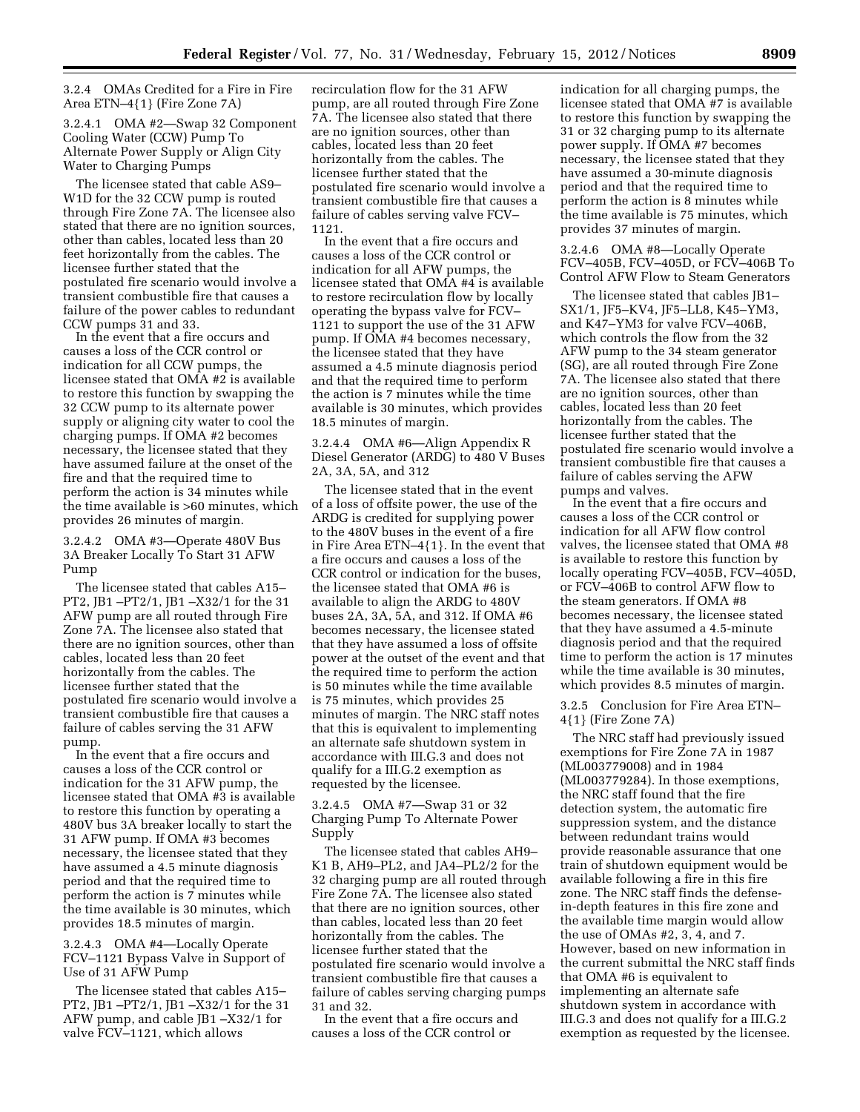3.2.4 OMAs Credited for a Fire in Fire Area ETN–4{1} (Fire Zone 7A)

3.2.4.1 OMA #2—Swap 32 Component Cooling Water (CCW) Pump To Alternate Power Supply or Align City Water to Charging Pumps

The licensee stated that cable AS9– W1D for the 32 CCW pump is routed through Fire Zone 7A. The licensee also stated that there are no ignition sources, other than cables, located less than 20 feet horizontally from the cables. The licensee further stated that the postulated fire scenario would involve a transient combustible fire that causes a failure of the power cables to redundant CCW pumps 31 and 33.

In the event that a fire occurs and causes a loss of the CCR control or indication for all CCW pumps, the licensee stated that OMA #2 is available to restore this function by swapping the 32 CCW pump to its alternate power supply or aligning city water to cool the charging pumps. If OMA #2 becomes necessary, the licensee stated that they have assumed failure at the onset of the fire and that the required time to perform the action is 34 minutes while the time available is >60 minutes, which provides 26 minutes of margin.

3.2.4.2 OMA #3—Operate 480V Bus 3A Breaker Locally To Start 31 AFW Pump

The licensee stated that cables A15– PT2, JB1 –PT2/1, JB1 –X32/1 for the 31 AFW pump are all routed through Fire Zone 7A. The licensee also stated that there are no ignition sources, other than cables, located less than 20 feet horizontally from the cables. The licensee further stated that the postulated fire scenario would involve a transient combustible fire that causes a failure of cables serving the 31 AFW pump.

In the event that a fire occurs and causes a loss of the CCR control or indication for the 31 AFW pump, the licensee stated that OMA #3 is available to restore this function by operating a 480V bus 3A breaker locally to start the 31 AFW pump. If OMA #3 becomes necessary, the licensee stated that they have assumed a 4.5 minute diagnosis period and that the required time to perform the action is 7 minutes while the time available is 30 minutes, which provides 18.5 minutes of margin.

3.2.4.3 OMA #4—Locally Operate FCV–1121 Bypass Valve in Support of Use of 31 AFW Pump

The licensee stated that cables A15– PT2, JB1 –PT2/1, JB1 –X32/1 for the 31 AFW pump, and cable JB1 –X32/1 for valve FCV–1121, which allows

recirculation flow for the 31 AFW pump, are all routed through Fire Zone 7A. The licensee also stated that there are no ignition sources, other than cables, located less than 20 feet horizontally from the cables. The licensee further stated that the postulated fire scenario would involve a transient combustible fire that causes a failure of cables serving valve FCV– 1121.

In the event that a fire occurs and causes a loss of the CCR control or indication for all AFW pumps, the licensee stated that OMA #4 is available to restore recirculation flow by locally operating the bypass valve for FCV– 1121 to support the use of the 31 AFW pump. If OMA #4 becomes necessary, the licensee stated that they have assumed a 4.5 minute diagnosis period and that the required time to perform the action is 7 minutes while the time available is 30 minutes, which provides 18.5 minutes of margin.

3.2.4.4 OMA #6—Align Appendix R Diesel Generator (ARDG) to 480 V Buses 2A, 3A, 5A, and 312

The licensee stated that in the event of a loss of offsite power, the use of the ARDG is credited for supplying power to the 480V buses in the event of a fire in Fire Area ETN–4{1}. In the event that a fire occurs and causes a loss of the CCR control or indication for the buses, the licensee stated that OMA #6 is available to align the ARDG to 480V buses 2A, 3A, 5A, and 312. If OMA #6 becomes necessary, the licensee stated that they have assumed a loss of offsite power at the outset of the event and that the required time to perform the action is 50 minutes while the time available is 75 minutes, which provides 25 minutes of margin. The NRC staff notes that this is equivalent to implementing an alternate safe shutdown system in accordance with III.G.3 and does not qualify for a III.G.2 exemption as requested by the licensee.

3.2.4.5 OMA #7—Swap 31 or 32 Charging Pump To Alternate Power Supply

The licensee stated that cables AH9– K1 B, AH9–PL2, and JA4–PL2/2 for the 32 charging pump are all routed through Fire Zone 7A. The licensee also stated that there are no ignition sources, other than cables, located less than 20 feet horizontally from the cables. The licensee further stated that the postulated fire scenario would involve a transient combustible fire that causes a failure of cables serving charging pumps 31 and 32.

In the event that a fire occurs and causes a loss of the CCR control or

indication for all charging pumps, the licensee stated that OMA #7 is available to restore this function by swapping the 31 or 32 charging pump to its alternate power supply. If OMA #7 becomes necessary, the licensee stated that they have assumed a 30-minute diagnosis period and that the required time to perform the action is  $8$  minutes while the time available is 75 minutes, which provides 37 minutes of margin.

3.2.4.6 OMA #8—Locally Operate FCV–405B, FCV–405D, or FCV–406B To Control AFW Flow to Steam Generators

The licensee stated that cables JB1– SX1/1, JF5–KV4, JF5–LL8, K45–YM3, and K47–YM3 for valve FCV–406B, which controls the flow from the 32 AFW pump to the 34 steam generator (SG), are all routed through Fire Zone 7A. The licensee also stated that there are no ignition sources, other than cables, located less than 20 feet horizontally from the cables. The licensee further stated that the postulated fire scenario would involve a transient combustible fire that causes a failure of cables serving the AFW pumps and valves.

In the event that a fire occurs and causes a loss of the CCR control or indication for all AFW flow control valves, the licensee stated that OMA #8 is available to restore this function by locally operating FCV–405B, FCV–405D, or FCV–406B to control AFW flow to the steam generators. If OMA #8 becomes necessary, the licensee stated that they have assumed a 4.5-minute diagnosis period and that the required time to perform the action is 17 minutes while the time available is 30 minutes, which provides 8.5 minutes of margin.

3.2.5 Conclusion for Fire Area ETN– 4{1} (Fire Zone 7A)

The NRC staff had previously issued exemptions for Fire Zone 7A in 1987 (ML003779008) and in 1984 (ML003779284). In those exemptions, the NRC staff found that the fire detection system, the automatic fire suppression system, and the distance between redundant trains would provide reasonable assurance that one train of shutdown equipment would be available following a fire in this fire zone. The NRC staff finds the defensein-depth features in this fire zone and the available time margin would allow the use of OMAs #2, 3, 4, and 7. However, based on new information in the current submittal the NRC staff finds that OMA #6 is equivalent to implementing an alternate safe shutdown system in accordance with III.G.3 and does not qualify for a III.G.2 exemption as requested by the licensee.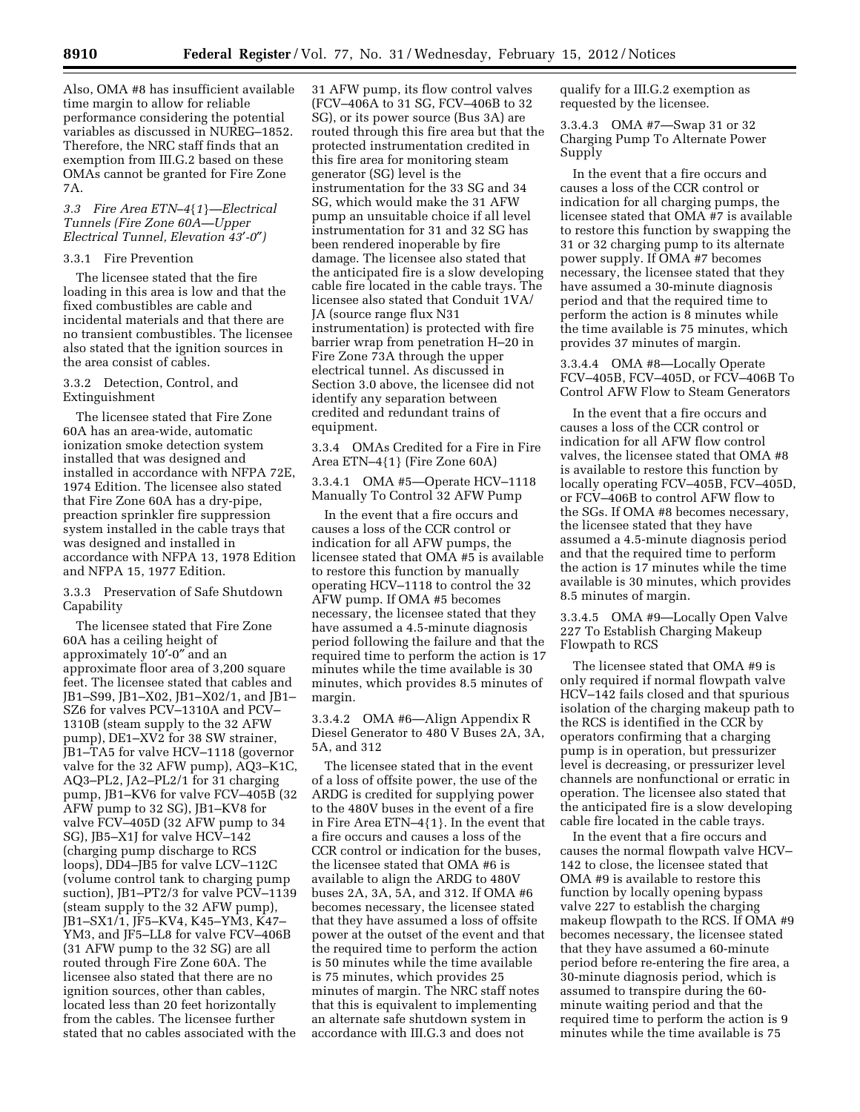Also, OMA #8 has insufficient available time margin to allow for reliable performance considering the potential variables as discussed in NUREG–1852. Therefore, the NRC staff finds that an exemption from III.G.2 based on these OMAs cannot be granted for Fire Zone 7A.

# *3.3 Fire Area ETN–4*{*1*}*—Electrical Tunnels (Fire Zone 60A—Upper Electrical Tunnel, Elevation 43*′*-0*″*)*

# 3.3.1 Fire Prevention

The licensee stated that the fire loading in this area is low and that the fixed combustibles are cable and incidental materials and that there are no transient combustibles. The licensee also stated that the ignition sources in the area consist of cables.

## 3.3.2 Detection, Control, and Extinguishment

The licensee stated that Fire Zone 60A has an area-wide, automatic ionization smoke detection system installed that was designed and installed in accordance with NFPA 72E, 1974 Edition. The licensee also stated that Fire Zone 60A has a dry-pipe, preaction sprinkler fire suppression system installed in the cable trays that was designed and installed in accordance with NFPA 13, 1978 Edition and NFPA 15, 1977 Edition.

3.3.3 Preservation of Safe Shutdown Capability

The licensee stated that Fire Zone 60A has a ceiling height of approximately 10′-0″ and an approximate floor area of 3,200 square feet. The licensee stated that cables and JB1–S99, JB1–X02, JB1–X02/1, and JB1– SZ6 for valves PCV–1310A and PCV– 1310B (steam supply to the 32 AFW pump), DE1–XV2 for 38 SW strainer, JB1–TA5 for valve HCV–1118 (governor valve for the 32 AFW pump), AQ3–K1C, AQ3–PL2, JA2–PL2/1 for 31 charging pump, JB1–KV6 for valve FCV–405B (32 AFW pump to 32 SG), JB1–KV8 for valve FCV–405D (32 AFW pump to 34 SG), JB5–X1J for valve HCV–142 (charging pump discharge to RCS loops), DD4–JB5 for valve LCV–112C (volume control tank to charging pump suction), JB1–PT2/3 for valve PCV–1139 (steam supply to the 32 AFW pump), JB1–SX1/1, JF5–KV4, K45–YM3, K47– YM3, and JF5–LL8 for valve FCV–406B (31 AFW pump to the 32 SG) are all routed through Fire Zone 60A. The licensee also stated that there are no ignition sources, other than cables, located less than 20 feet horizontally from the cables. The licensee further stated that no cables associated with the

31 AFW pump, its flow control valves (FCV–406A to 31 SG, FCV–406B to 32 SG), or its power source (Bus 3A) are routed through this fire area but that the protected instrumentation credited in this fire area for monitoring steam generator (SG) level is the instrumentation for the 33 SG and 34 SG, which would make the 31 AFW pump an unsuitable choice if all level instrumentation for 31 and 32 SG has been rendered inoperable by fire damage. The licensee also stated that the anticipated fire is a slow developing cable fire located in the cable trays. The licensee also stated that Conduit 1VA/ JA (source range flux N31 instrumentation) is protected with fire barrier wrap from penetration H–20 in Fire Zone 73A through the upper electrical tunnel. As discussed in Section 3.0 above, the licensee did not identify any separation between credited and redundant trains of equipment.

3.3.4 OMAs Credited for a Fire in Fire Area ETN–4{1} (Fire Zone 60A)

3.3.4.1 OMA #5—Operate HCV–1118 Manually To Control 32 AFW Pump

In the event that a fire occurs and causes a loss of the CCR control or indication for all AFW pumps, the licensee stated that OMA #5 is available to restore this function by manually operating HCV–1118 to control the 32 AFW pump. If OMA #5 becomes necessary, the licensee stated that they have assumed a 4.5-minute diagnosis period following the failure and that the required time to perform the action is 17 minutes while the time available is 30 minutes, which provides 8.5 minutes of margin.

3.3.4.2 OMA #6—Align Appendix R Diesel Generator to 480 V Buses 2A, 3A, 5A, and 312

The licensee stated that in the event of a loss of offsite power, the use of the ARDG is credited for supplying power to the 480V buses in the event of a fire in Fire Area ETN–4{1}. In the event that a fire occurs and causes a loss of the CCR control or indication for the buses, the licensee stated that OMA #6 is available to align the ARDG to 480V buses 2A, 3A, 5A, and 312. If OMA #6 becomes necessary, the licensee stated that they have assumed a loss of offsite power at the outset of the event and that the required time to perform the action is 50 minutes while the time available is 75 minutes, which provides 25 minutes of margin. The NRC staff notes that this is equivalent to implementing an alternate safe shutdown system in accordance with III.G.3 and does not

qualify for a III.G.2 exemption as requested by the licensee.

3.3.4.3 OMA #7—Swap 31 or 32 Charging Pump To Alternate Power Supply

In the event that a fire occurs and causes a loss of the CCR control or indication for all charging pumps, the licensee stated that OMA #7 is available to restore this function by swapping the 31 or 32 charging pump to its alternate power supply. If OMA #7 becomes necessary, the licensee stated that they have assumed a 30-minute diagnosis period and that the required time to perform the action is 8 minutes while the time available is 75 minutes, which provides 37 minutes of margin.

3.3.4.4 OMA #8—Locally Operate FCV–405B, FCV–405D, or FCV–406B To Control AFW Flow to Steam Generators

In the event that a fire occurs and causes a loss of the CCR control or indication for all AFW flow control valves, the licensee stated that OMA #8 is available to restore this function by locally operating FCV–405B, FCV–405D, or FCV–406B to control AFW flow to the SGs. If OMA #8 becomes necessary, the licensee stated that they have assumed a 4.5-minute diagnosis period and that the required time to perform the action is 17 minutes while the time available is 30 minutes, which provides 8.5 minutes of margin.

3.3.4.5 OMA #9—Locally Open Valve 227 To Establish Charging Makeup Flowpath to RCS

The licensee stated that OMA #9 is only required if normal flowpath valve HCV–142 fails closed and that spurious isolation of the charging makeup path to the RCS is identified in the CCR by operators confirming that a charging pump is in operation, but pressurizer level is decreasing, or pressurizer level channels are nonfunctional or erratic in operation. The licensee also stated that the anticipated fire is a slow developing cable fire located in the cable trays.

In the event that a fire occurs and causes the normal flowpath valve HCV– 142 to close, the licensee stated that OMA #9 is available to restore this function by locally opening bypass valve 227 to establish the charging makeup flowpath to the RCS. If OMA #9 becomes necessary, the licensee stated that they have assumed a 60-minute period before re-entering the fire area, a 30-minute diagnosis period, which is assumed to transpire during the 60 minute waiting period and that the required time to perform the action is 9 minutes while the time available is 75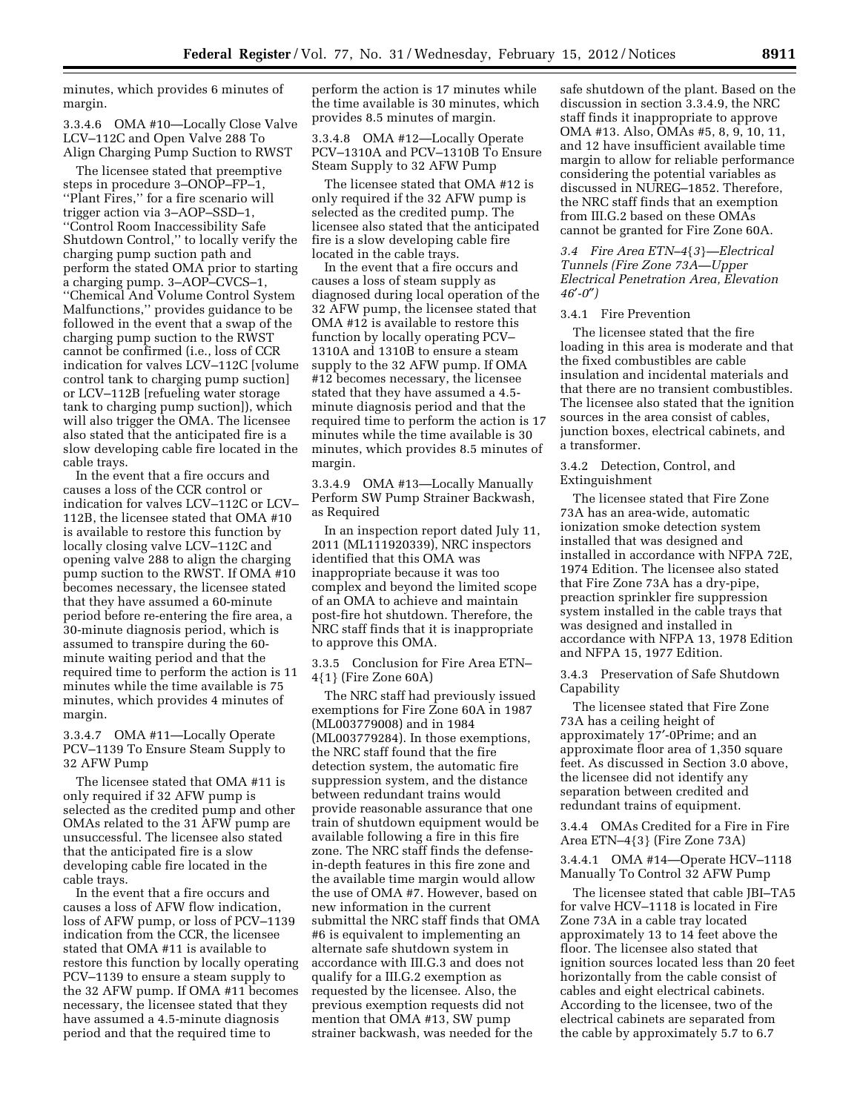minutes, which provides 6 minutes of margin.

3.3.4.6 OMA #10—Locally Close Valve LCV–112C and Open Valve 288 To Align Charging Pump Suction to RWST

The licensee stated that preemptive steps in procedure 3–ONOP–FP–1, ''Plant Fires,'' for a fire scenario will trigger action via 3–AOP–SSD–1, ''Control Room Inaccessibility Safe Shutdown Control,'' to locally verify the charging pump suction path and perform the stated OMA prior to starting a charging pump. 3–AOP–CVCS–1, ''Chemical And Volume Control System Malfunctions,'' provides guidance to be followed in the event that a swap of the charging pump suction to the RWST cannot be confirmed (i.e., loss of CCR indication for valves LCV–112C [volume control tank to charging pump suction] or LCV–112B [refueling water storage tank to charging pump suction]), which will also trigger the OMA. The licensee also stated that the anticipated fire is a slow developing cable fire located in the cable trays.

In the event that a fire occurs and causes a loss of the CCR control or indication for valves LCV–112C or LCV– 112B, the licensee stated that OMA #10 is available to restore this function by locally closing valve LCV–112C and opening valve 288 to align the charging pump suction to the RWST. If OMA #10 becomes necessary, the licensee stated that they have assumed a 60-minute period before re-entering the fire area, a 30-minute diagnosis period, which is assumed to transpire during the 60 minute waiting period and that the required time to perform the action is 11 minutes while the time available is 75 minutes, which provides 4 minutes of margin.

3.3.4.7 OMA #11—Locally Operate PCV–1139 To Ensure Steam Supply to 32 AFW Pump

The licensee stated that OMA #11 is only required if 32 AFW pump is selected as the credited pump and other OMAs related to the 31 AFW pump are unsuccessful. The licensee also stated that the anticipated fire is a slow developing cable fire located in the cable trays.

In the event that a fire occurs and causes a loss of AFW flow indication, loss of AFW pump, or loss of PCV–1139 indication from the CCR, the licensee stated that OMA #11 is available to restore this function by locally operating PCV–1139 to ensure a steam supply to the 32 AFW pump. If OMA #11 becomes necessary, the licensee stated that they have assumed a 4.5-minute diagnosis period and that the required time to

perform the action is 17 minutes while the time available is 30 minutes, which provides 8.5 minutes of margin.

3.3.4.8 OMA #12—Locally Operate PCV–1310A and PCV–1310B To Ensure Steam Supply to 32 AFW Pump

The licensee stated that OMA #12 is only required if the 32 AFW pump is selected as the credited pump. The licensee also stated that the anticipated fire is a slow developing cable fire located in the cable trays.

In the event that a fire occurs and causes a loss of steam supply as diagnosed during local operation of the 32 AFW pump, the licensee stated that OMA #12 is available to restore this function by locally operating PCV– 1310A and 1310B to ensure a steam supply to the 32 AFW pump. If OMA #12 becomes necessary, the licensee stated that they have assumed a 4.5 minute diagnosis period and that the required time to perform the action is 17 minutes while the time available is 30 minutes, which provides 8.5 minutes of margin.

3.3.4.9 OMA #13—Locally Manually Perform SW Pump Strainer Backwash, as Required

In an inspection report dated July 11, 2011 (ML111920339), NRC inspectors identified that this OMA was inappropriate because it was too complex and beyond the limited scope of an OMA to achieve and maintain post-fire hot shutdown. Therefore, the NRC staff finds that it is inappropriate to approve this OMA.

3.3.5 Conclusion for Fire Area ETN– 4{1} (Fire Zone 60A)

The NRC staff had previously issued exemptions for Fire Zone 60A in 1987 (ML003779008) and in 1984 (ML003779284). In those exemptions, the NRC staff found that the fire detection system, the automatic fire suppression system, and the distance between redundant trains would provide reasonable assurance that one train of shutdown equipment would be available following a fire in this fire zone. The NRC staff finds the defensein-depth features in this fire zone and the available time margin would allow the use of OMA #7. However, based on new information in the current submittal the NRC staff finds that OMA #6 is equivalent to implementing an alternate safe shutdown system in accordance with III.G.3 and does not qualify for a III.G.2 exemption as requested by the licensee. Also, the previous exemption requests did not mention that OMA #13, SW pump strainer backwash, was needed for the

safe shutdown of the plant. Based on the discussion in section 3.3.4.9, the NRC staff finds it inappropriate to approve OMA #13. Also, OMAs #5, 8, 9, 10, 11, and 12 have insufficient available time margin to allow for reliable performance considering the potential variables as discussed in NUREG–1852. Therefore, the NRC staff finds that an exemption from III.G.2 based on these OMAs cannot be granted for Fire Zone 60A.

*3.4 Fire Area ETN–4*{*3*}*—Electrical Tunnels (Fire Zone 73A—Upper Electrical Penetration Area, Elevation 46*′*-0*″*)* 

# 3.4.1 Fire Prevention

The licensee stated that the fire loading in this area is moderate and that the fixed combustibles are cable insulation and incidental materials and that there are no transient combustibles. The licensee also stated that the ignition sources in the area consist of cables, junction boxes, electrical cabinets, and a transformer.

3.4.2 Detection, Control, and Extinguishment

The licensee stated that Fire Zone 73A has an area-wide, automatic ionization smoke detection system installed that was designed and installed in accordance with NFPA 72E, 1974 Edition. The licensee also stated that Fire Zone 73A has a dry-pipe, preaction sprinkler fire suppression system installed in the cable trays that was designed and installed in accordance with NFPA 13, 1978 Edition and NFPA 15, 1977 Edition.

3.4.3 Preservation of Safe Shutdown Capability

The licensee stated that Fire Zone 73A has a ceiling height of approximately 17′-0Prime; and an approximate floor area of 1,350 square feet. As discussed in Section 3.0 above, the licensee did not identify any separation between credited and redundant trains of equipment.

3.4.4 OMAs Credited for a Fire in Fire Area ETN–4{3} (Fire Zone 73A)

3.4.4.1 OMA #14—Operate HCV–1118 Manually To Control 32 AFW Pump

The licensee stated that cable JBI–TA5 for valve HCV–1118 is located in Fire Zone 73A in a cable tray located approximately 13 to 14 feet above the floor. The licensee also stated that ignition sources located less than 20 feet horizontally from the cable consist of cables and eight electrical cabinets. According to the licensee, two of the electrical cabinets are separated from the cable by approximately 5.7 to 6.7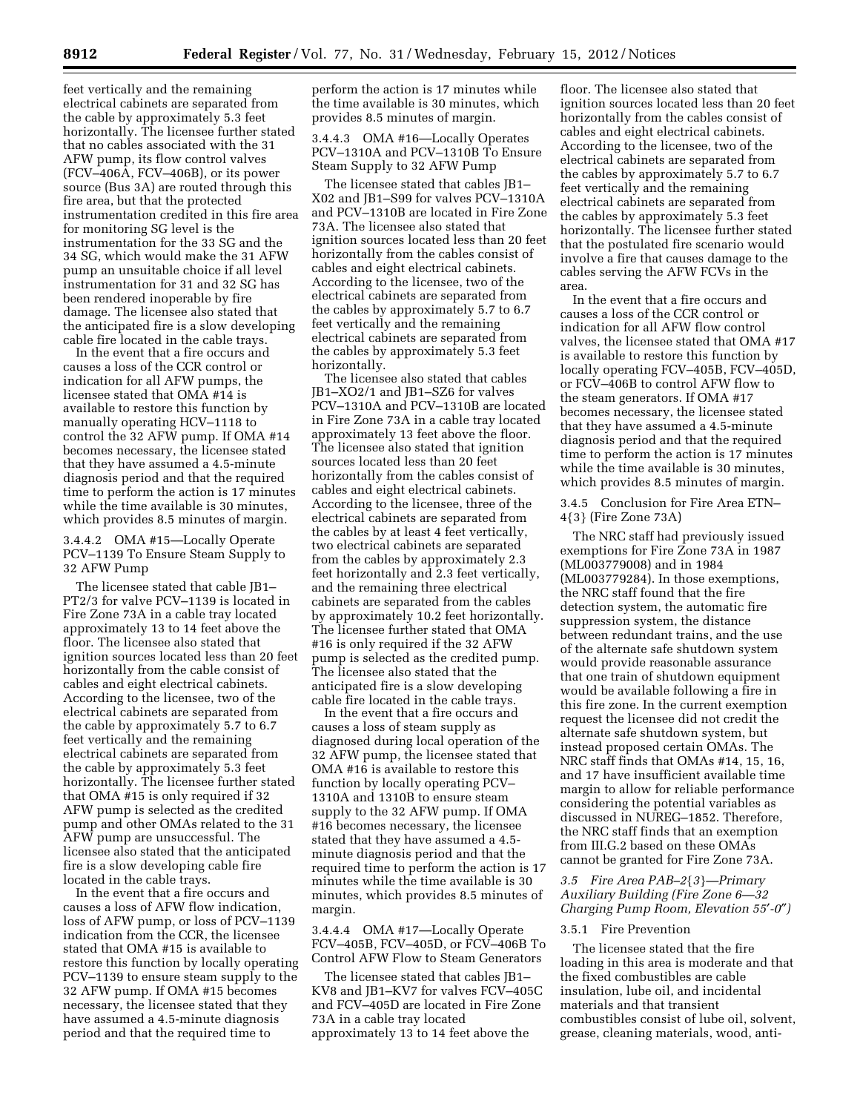feet vertically and the remaining electrical cabinets are separated from the cable by approximately 5.3 feet horizontally. The licensee further stated that no cables associated with the 31 AFW pump, its flow control valves (FCV–406A, FCV–406B), or its power source (Bus 3A) are routed through this fire area, but that the protected instrumentation credited in this fire area for monitoring SG level is the instrumentation for the 33 SG and the 34 SG, which would make the 31 AFW pump an unsuitable choice if all level instrumentation for 31 and 32 SG has been rendered inoperable by fire damage. The licensee also stated that the anticipated fire is a slow developing cable fire located in the cable trays.

In the event that a fire occurs and causes a loss of the CCR control or indication for all AFW pumps, the licensee stated that OMA #14 is available to restore this function by manually operating HCV–1118 to control the 32 AFW pump. If OMA #14 becomes necessary, the licensee stated that they have assumed a 4.5-minute diagnosis period and that the required time to perform the action is 17 minutes while the time available is 30 minutes, which provides 8.5 minutes of margin.

3.4.4.2 OMA #15—Locally Operate PCV–1139 To Ensure Steam Supply to 32 AFW Pump

The licensee stated that cable JB1– PT2/3 for valve PCV–1139 is located in Fire Zone 73A in a cable tray located approximately 13 to 14 feet above the floor. The licensee also stated that ignition sources located less than 20 feet horizontally from the cable consist of cables and eight electrical cabinets. According to the licensee, two of the electrical cabinets are separated from the cable by approximately 5.7 to 6.7 feet vertically and the remaining electrical cabinets are separated from the cable by approximately 5.3 feet horizontally. The licensee further stated that OMA #15 is only required if 32 AFW pump is selected as the credited pump and other OMAs related to the 31 AFW pump are unsuccessful. The licensee also stated that the anticipated fire is a slow developing cable fire located in the cable trays.

In the event that a fire occurs and causes a loss of AFW flow indication, loss of AFW pump, or loss of PCV–1139 indication from the CCR, the licensee stated that OMA #15 is available to restore this function by locally operating PCV–1139 to ensure steam supply to the 32 AFW pump. If OMA #15 becomes necessary, the licensee stated that they have assumed a 4.5-minute diagnosis period and that the required time to

perform the action is 17 minutes while the time available is 30 minutes, which provides 8.5 minutes of margin.

3.4.4.3 OMA #16—Locally Operates PCV–1310A and PCV–1310B To Ensure Steam Supply to 32 AFW Pump

The licensee stated that cables JB1– X02 and JB1–S99 for valves PCV–1310A and PCV–1310B are located in Fire Zone 73A. The licensee also stated that ignition sources located less than 20 feet horizontally from the cables consist of cables and eight electrical cabinets. According to the licensee, two of the electrical cabinets are separated from the cables by approximately 5.7 to 6.7 feet vertically and the remaining electrical cabinets are separated from the cables by approximately 5.3 feet horizontally.

The licensee also stated that cables JB1–XO2/1 and JB1–SZ6 for valves PCV–1310A and PCV–1310B are located in Fire Zone 73A in a cable tray located approximately 13 feet above the floor. The licensee also stated that ignition sources located less than 20 feet horizontally from the cables consist of cables and eight electrical cabinets. According to the licensee, three of the electrical cabinets are separated from the cables by at least 4 feet vertically, two electrical cabinets are separated from the cables by approximately 2.3 feet horizontally and 2.3 feet vertically, and the remaining three electrical cabinets are separated from the cables by approximately 10.2 feet horizontally. The licensee further stated that OMA #16 is only required if the 32 AFW pump is selected as the credited pump. The licensee also stated that the anticipated fire is a slow developing cable fire located in the cable trays.

In the event that a fire occurs and causes a loss of steam supply as diagnosed during local operation of the 32 AFW pump, the licensee stated that OMA #16 is available to restore this function by locally operating PCV– 1310A and 1310B to ensure steam supply to the 32 AFW pump. If OMA #16 becomes necessary, the licensee stated that they have assumed a 4.5 minute diagnosis period and that the required time to perform the action is 17 minutes while the time available is 30 minutes, which provides 8.5 minutes of margin.

3.4.4.4 OMA #17—Locally Operate FCV–405B, FCV–405D, or FCV–406B To Control AFW Flow to Steam Generators

The licensee stated that cables JB1– KV8 and JB1–KV7 for valves FCV–405C and FCV–405D are located in Fire Zone 73A in a cable tray located approximately 13 to 14 feet above the

floor. The licensee also stated that ignition sources located less than 20 feet horizontally from the cables consist of cables and eight electrical cabinets. According to the licensee, two of the electrical cabinets are separated from the cables by approximately 5.7 to 6.7 feet vertically and the remaining electrical cabinets are separated from the cables by approximately 5.3 feet horizontally. The licensee further stated that the postulated fire scenario would involve a fire that causes damage to the cables serving the AFW FCVs in the area.

In the event that a fire occurs and causes a loss of the CCR control or indication for all AFW flow control valves, the licensee stated that OMA #17 is available to restore this function by locally operating FCV–405B, FCV–405D, or FCV–406B to control AFW flow to the steam generators. If OMA #17 becomes necessary, the licensee stated that they have assumed a 4.5-minute diagnosis period and that the required time to perform the action is 17 minutes while the time available is 30 minutes, which provides 8.5 minutes of margin.

3.4.5 Conclusion for Fire Area ETN– 4{3} (Fire Zone 73A)

The NRC staff had previously issued exemptions for Fire Zone 73A in 1987 (ML003779008) and in 1984 (ML003779284). In those exemptions, the NRC staff found that the fire detection system, the automatic fire suppression system, the distance between redundant trains, and the use of the alternate safe shutdown system would provide reasonable assurance that one train of shutdown equipment would be available following a fire in this fire zone. In the current exemption request the licensee did not credit the alternate safe shutdown system, but instead proposed certain OMAs. The NRC staff finds that OMAs #14, 15, 16, and 17 have insufficient available time margin to allow for reliable performance considering the potential variables as discussed in NUREG–1852. Therefore, the NRC staff finds that an exemption from III.G.2 based on these OMAs cannot be granted for Fire Zone 73A.

# *3.5 Fire Area PAB–2*{*3*}*—Primary Auxiliary Building (Fire Zone 6—32 Charging Pump Room, Elevation 55*′*-0*″*)*

## 3.5.1 Fire Prevention

The licensee stated that the fire loading in this area is moderate and that the fixed combustibles are cable insulation, lube oil, and incidental materials and that transient combustibles consist of lube oil, solvent, grease, cleaning materials, wood, anti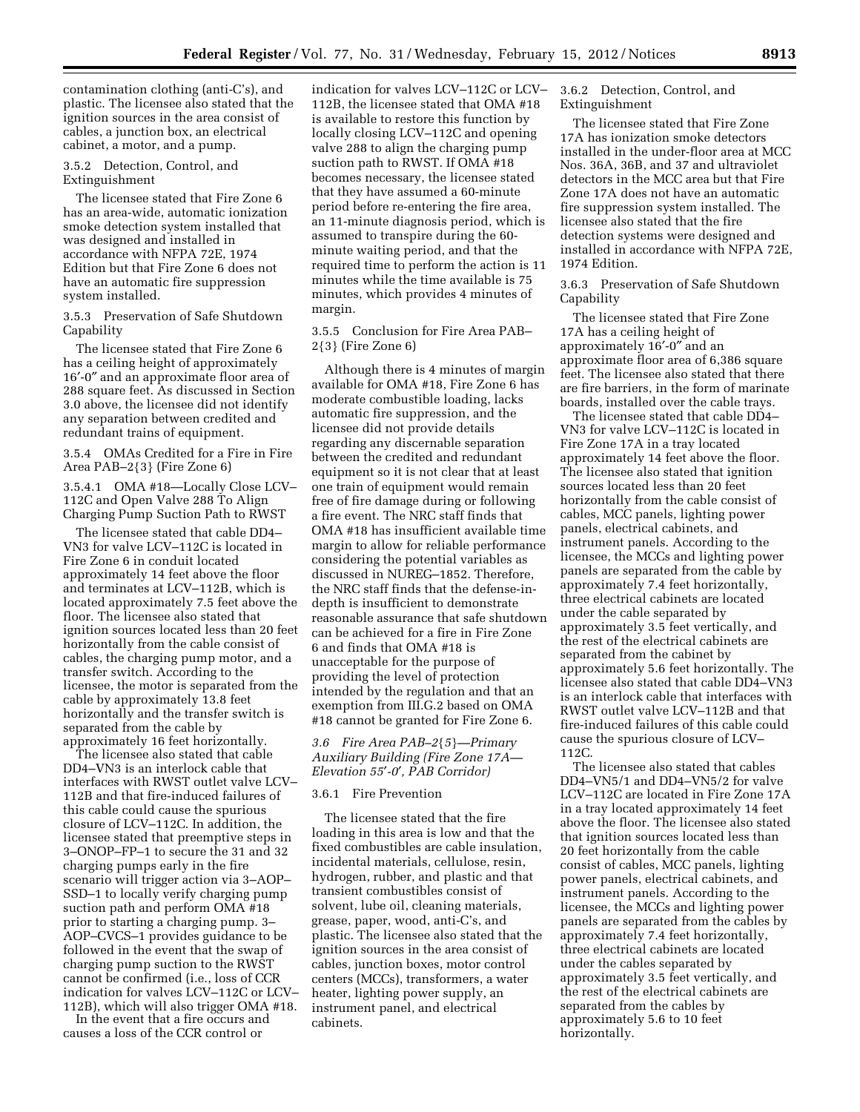contamination clothing (anti-C's), and plastic. The licensee also stated that the ignition sources in the area consist of cables, a junction box, an electrical cabinet, a motor, and a pump.

3.5.2 Detection, Control, and Extinguishment

The licensee stated that Fire Zone 6 has an area-wide, automatic ionization smoke detection system installed that was designed and installed in accordance with NFPA 72E, 1974 Edition but that Fire Zone 6 does not have an automatic fire suppression system installed.

3.5.3 Preservation of Safe Shutdown Capability

The licensee stated that Fire Zone 6 has a ceiling height of approximately 16′-0″ and an approximate floor area of 288 square feet. As discussed in Section 3.0 above, the licensee did not identify any separation between credited and redundant trains of equipment.

3.5.4 OMAs Credited for a Fire in Fire Area PAB–2{3} (Fire Zone 6)

3.5.4.1 OMA #18—Locally Close LCV– 112C and Open Valve 288 To Align Charging Pump Suction Path to RWST

The licensee stated that cable DD4– VN3 for valve LCV–112C is located in Fire Zone 6 in conduit located approximately 14 feet above the floor and terminates at LCV–112B, which is located approximately 7.5 feet above the floor. The licensee also stated that ignition sources located less than 20 feet horizontally from the cable consist of cables, the charging pump motor, and a transfer switch. According to the licensee, the motor is separated from the cable by approximately 13.8 feet horizontally and the transfer switch is separated from the cable by approximately 16 feet horizontally.

The licensee also stated that cable DD4–VN3 is an interlock cable that interfaces with RWST outlet valve LCV– 112B and that fire-induced failures of this cable could cause the spurious closure of LCV-112C. In addition, the licensee stated that preemptive steps in 3–ONOP–FP–1 to secure the 31 and 32 charging pumps early in the fire scenario will trigger action via 3–AOP– SSD–1 to locally verify charging pump suction path and perform OMA #18 prior to starting a charging pump. 3– AOP–CVCS–1 provides guidance to be followed in the event that the swap of charging pump suction to the RWST cannot be confirmed (i.e., loss of CCR indication for valves LCV–112C or LCV– 112B), which will also trigger OMA #18.

In the event that a fire occurs and causes a loss of the CCR control or

indication for valves LCV–112C or LCV– 112B, the licensee stated that OMA #18 is available to restore this function by locally closing LCV–112C and opening valve 288 to align the charging pump suction path to RWST. If OMA #18 becomes necessary, the licensee stated that they have assumed a 60-minute period before re-entering the fire area, an 11-minute diagnosis period, which is assumed to transpire during the 60 minute waiting period, and that the required time to perform the action is 11 minutes while the time available is 75 minutes, which provides 4 minutes of margin.

3.5.5 Conclusion for Fire Area PAB– 2{3} (Fire Zone 6)

Although there is 4 minutes of margin available for OMA #18, Fire Zone 6 has moderate combustible loading, lacks automatic fire suppression, and the licensee did not provide details regarding any discernable separation between the credited and redundant equipment so it is not clear that at least one train of equipment would remain free of fire damage during or following a fire event. The NRC staff finds that OMA #18 has insufficient available time margin to allow for reliable performance considering the potential variables as discussed in NUREG–1852. Therefore, the NRC staff finds that the defense-indepth is insufficient to demonstrate reasonable assurance that safe shutdown can be achieved for a fire in Fire Zone 6 and finds that OMA #18 is unacceptable for the purpose of providing the level of protection intended by the regulation and that an exemption from III.G.2 based on OMA #18 cannot be granted for Fire Zone 6.

# *3.6 Fire Area PAB–2*{*5*}*—Primary Auxiliary Building (Fire Zone 17A— Elevation 55*′*-0*′*, PAB Corridor)*

# 3.6.1 Fire Prevention

The licensee stated that the fire loading in this area is low and that the fixed combustibles are cable insulation, incidental materials, cellulose, resin, hydrogen, rubber, and plastic and that transient combustibles consist of solvent, lube oil, cleaning materials, grease, paper, wood, anti-C's, and plastic. The licensee also stated that the ignition sources in the area consist of cables, junction boxes, motor control centers (MCCs), transformers, a water heater, lighting power supply, an instrument panel, and electrical cabinets.

3.6.2 Detection, Control, and Extinguishment

The licensee stated that Fire Zone 17A has ionization smoke detectors installed in the under-floor area at MCC Nos. 36A, 36B, and 37 and ultraviolet detectors in the MCC area but that Fire Zone 17A does not have an automatic fire suppression system installed. The licensee also stated that the fire detection systems were designed and installed in accordance with NFPA 72E, 1974 Edition.

3.6.3 Preservation of Safe Shutdown Capability

The licensee stated that Fire Zone 17A has a ceiling height of approximately 16′-0″ and an approximate floor area of 6,386 square feet. The licensee also stated that there are fire barriers, in the form of marinate boards, installed over the cable trays.

The licensee stated that cable DD4-VN3 for valve LCV–112C is located in Fire Zone 17A in a tray located approximately 14 feet above the floor. The licensee also stated that ignition sources located less than 20 feet horizontally from the cable consist of cables, MCC panels, lighting power panels, electrical cabinets, and instrument panels. According to the licensee, the MCCs and lighting power panels are separated from the cable by approximately 7.4 feet horizontally, three electrical cabinets are located under the cable separated by approximately 3.5 feet vertically, and the rest of the electrical cabinets are separated from the cabinet by approximately 5.6 feet horizontally. The licensee also stated that cable DD4–VN3 is an interlock cable that interfaces with RWST outlet valve LCV–112B and that fire-induced failures of this cable could cause the spurious closure of LCV– 112C.

The licensee also stated that cables DD4–VN5/1 and DD4–VN5/2 for valve LCV–112C are located in Fire Zone 17A in a tray located approximately 14 feet above the floor. The licensee also stated that ignition sources located less than 20 feet horizontally from the cable consist of cables, MCC panels, lighting power panels, electrical cabinets, and instrument panels. According to the licensee, the MCCs and lighting power panels are separated from the cables by approximately 7.4 feet horizontally, three electrical cabinets are located under the cables separated by approximately 3.5 feet vertically, and the rest of the electrical cabinets are separated from the cables by approximately 5.6 to 10 feet horizontally.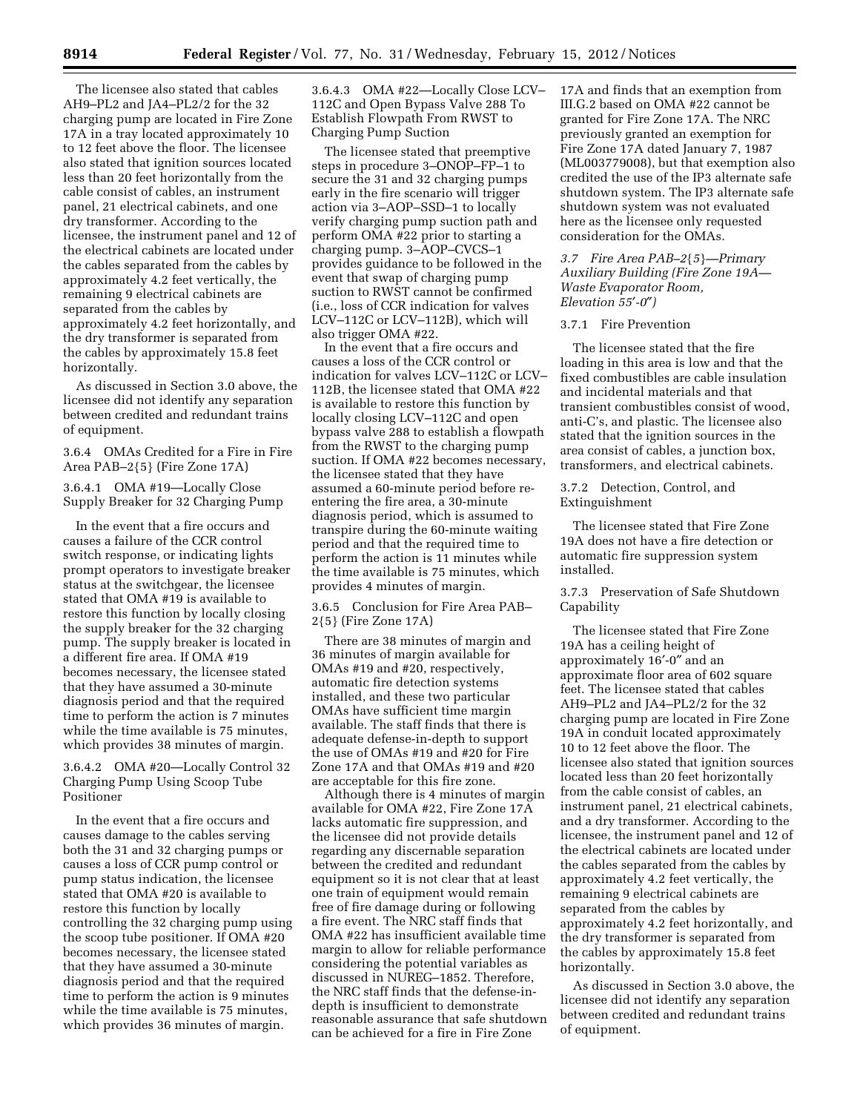The licensee also stated that cables AH9–PL2 and JA4–PL2/2 for the 32 charging pump are located in Fire Zone 17A in a tray located approximately 10 to 12 feet above the floor. The licensee also stated that ignition sources located less than 20 feet horizontally from the cable consist of cables, an instrument panel, 21 electrical cabinets, and one dry transformer. According to the licensee, the instrument panel and 12 of the electrical cabinets are located under the cables separated from the cables by approximately 4.2 feet vertically, the remaining 9 electrical cabinets are separated from the cables by approximately 4.2 feet horizontally, and the dry transformer is separated from the cables by approximately 15.8 feet horizontally.

As discussed in Section 3.0 above, the licensee did not identify any separation between credited and redundant trains of equipment.

3.6.4 OMAs Credited for a Fire in Fire Area PAB–2{5} (Fire Zone 17A)

3.6.4.1 OMA #19—Locally Close Supply Breaker for 32 Charging Pump

In the event that a fire occurs and causes a failure of the CCR control switch response, or indicating lights prompt operators to investigate breaker status at the switchgear, the licensee stated that OMA #19 is available to restore this function by locally closing the supply breaker for the 32 charging pump. The supply breaker is located in a different fire area. If OMA #19 becomes necessary, the licensee stated that they have assumed a 30-minute diagnosis period and that the required time to perform the action is 7 minutes while the time available is 75 minutes, which provides 38 minutes of margin.

3.6.4.2 OMA #20—Locally Control 32 Charging Pump Using Scoop Tube Positioner

In the event that a fire occurs and causes damage to the cables serving both the 31 and 32 charging pumps or causes a loss of CCR pump control or pump status indication, the licensee stated that OMA #20 is available to restore this function by locally controlling the 32 charging pump using the scoop tube positioner. If OMA #20 becomes necessary, the licensee stated that they have assumed a 30-minute diagnosis period and that the required time to perform the action is 9 minutes while the time available is 75 minutes, which provides 36 minutes of margin.

3.6.4.3 OMA #22—Locally Close LCV– 112C and Open Bypass Valve 288 To Establish Flowpath From RWST to Charging Pump Suction

The licensee stated that preemptive steps in procedure 3–ONOP–FP–1 to secure the 31 and 32 charging pumps early in the fire scenario will trigger action via 3–AOP–SSD–1 to locally verify charging pump suction path and perform OMA #22 prior to starting a charging pump. 3–AOP–CVCS–1 provides guidance to be followed in the event that swap of charging pump suction to RWST cannot be confirmed (i.e., loss of CCR indication for valves LCV–112C or LCV–112B), which will also trigger OMA #22.

In the event that a fire occurs and causes a loss of the CCR control or indication for valves LCV–112C or LCV– 112B, the licensee stated that OMA #22 is available to restore this function by locally closing LCV–112C and open bypass valve 288 to establish a flowpath from the RWST to the charging pump suction. If OMA #22 becomes necessary, the licensee stated that they have assumed a 60-minute period before reentering the fire area, a 30-minute diagnosis period, which is assumed to transpire during the 60-minute waiting period and that the required time to perform the action is 11 minutes while the time available is 75 minutes, which provides 4 minutes of margin.

3.6.5 Conclusion for Fire Area PAB– 2{5} (Fire Zone 17A)

There are 38 minutes of margin and 36 minutes of margin available for OMAs #19 and #20, respectively, automatic fire detection systems installed, and these two particular OMAs have sufficient time margin available. The staff finds that there is adequate defense-in-depth to support the use of OMAs #19 and #20 for Fire Zone 17A and that OMAs #19 and #20 are acceptable for this fire zone.

Although there is 4 minutes of margin available for OMA #22, Fire Zone 17A lacks automatic fire suppression, and the licensee did not provide details regarding any discernable separation between the credited and redundant equipment so it is not clear that at least one train of equipment would remain free of fire damage during or following a fire event. The NRC staff finds that OMA #22 has insufficient available time margin to allow for reliable performance considering the potential variables as discussed in NUREG–1852. Therefore, the NRC staff finds that the defense-indepth is insufficient to demonstrate reasonable assurance that safe shutdown can be achieved for a fire in Fire Zone

17A and finds that an exemption from III.G.2 based on OMA #22 cannot be granted for Fire Zone 17A. The NRC previously granted an exemption for Fire Zone 17A dated January 7, 1987 (ML003779008), but that exemption also credited the use of the IP3 alternate safe shutdown system. The IP3 alternate safe shutdown system was not evaluated here as the licensee only requested consideration for the OMAs.

*3.7 Fire Area PAB–2*{*5*}*—Primary Auxiliary Building (Fire Zone 19A— Waste Evaporator Room, Elevation 55*′*-0*″*)* 

## 3.7.1 Fire Prevention

The licensee stated that the fire loading in this area is low and that the fixed combustibles are cable insulation and incidental materials and that transient combustibles consist of wood, anti-C's, and plastic. The licensee also stated that the ignition sources in the area consist of cables, a junction box, transformers, and electrical cabinets.

3.7.2 Detection, Control, and Extinguishment

The licensee stated that Fire Zone 19A does not have a fire detection or automatic fire suppression system installed.

3.7.3 Preservation of Safe Shutdown Capability

The licensee stated that Fire Zone 19A has a ceiling height of approximately 16′-0″ and an approximate floor area of 602 square feet. The licensee stated that cables AH9–PL2 and JA4–PL2/2 for the 32 charging pump are located in Fire Zone 19A in conduit located approximately 10 to 12 feet above the floor. The licensee also stated that ignition sources located less than 20 feet horizontally from the cable consist of cables, an instrument panel, 21 electrical cabinets, and a dry transformer. According to the licensee, the instrument panel and 12 of the electrical cabinets are located under the cables separated from the cables by approximately 4.2 feet vertically, the remaining 9 electrical cabinets are separated from the cables by approximately 4.2 feet horizontally, and the dry transformer is separated from the cables by approximately 15.8 feet horizontally.

As discussed in Section 3.0 above, the licensee did not identify any separation between credited and redundant trains of equipment.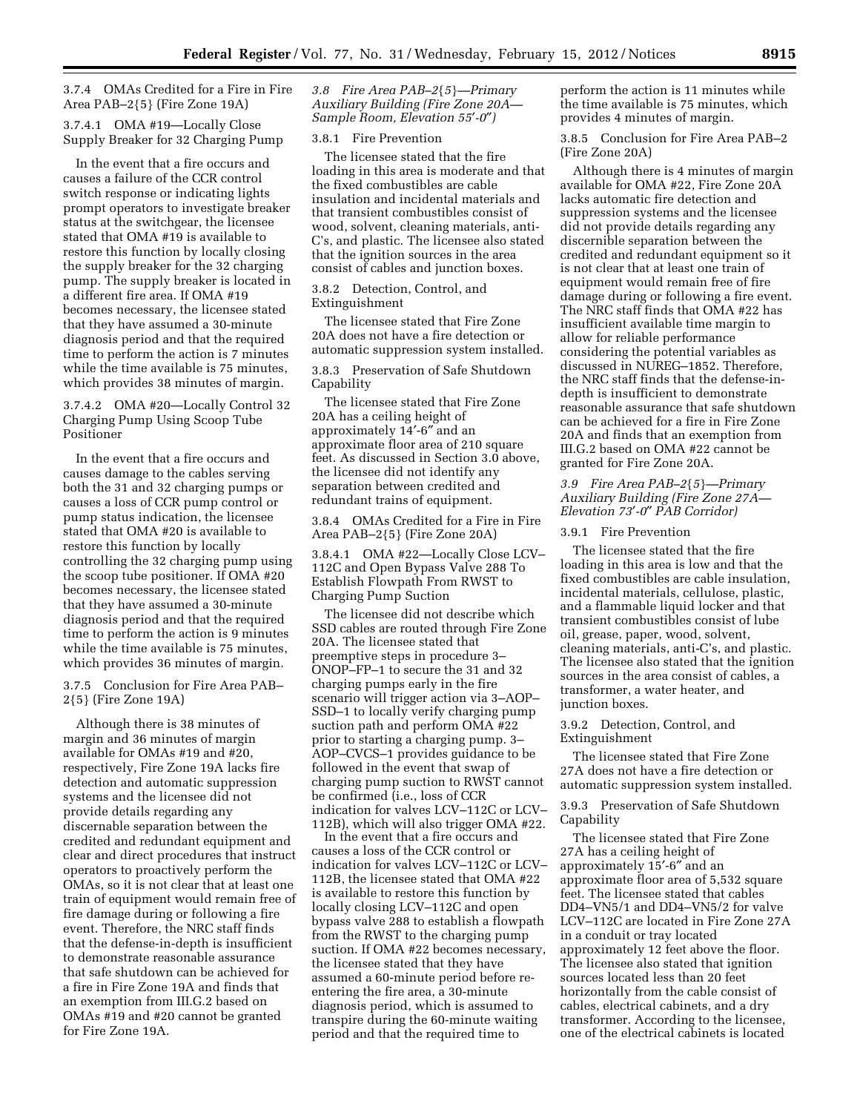3.7.4 OMAs Credited for a Fire in Fire Area PAB–2{5} (Fire Zone 19A)

3.7.4.1 OMA #19—Locally Close Supply Breaker for 32 Charging Pump

In the event that a fire occurs and causes a failure of the CCR control switch response or indicating lights prompt operators to investigate breaker status at the switchgear, the licensee stated that OMA #19 is available to restore this function by locally closing the supply breaker for the 32 charging pump. The supply breaker is located in a different fire area. If OMA #19 becomes necessary, the licensee stated that they have assumed a 30-minute diagnosis period and that the required time to perform the action is 7 minutes while the time available is 75 minutes, which provides 38 minutes of margin.

3.7.4.2 OMA #20—Locally Control 32 Charging Pump Using Scoop Tube Positioner

In the event that a fire occurs and causes damage to the cables serving both the 31 and 32 charging pumps or causes a loss of CCR pump control or pump status indication, the licensee stated that OMA #20 is available to restore this function by locally controlling the 32 charging pump using the scoop tube positioner. If OMA #20 becomes necessary, the licensee stated that they have assumed a 30-minute diagnosis period and that the required time to perform the action is 9 minutes while the time available is 75 minutes, which provides 36 minutes of margin.

3.7.5 Conclusion for Fire Area PAB– 2{5} (Fire Zone 19A)

Although there is 38 minutes of margin and 36 minutes of margin available for OMAs #19 and #20, respectively, Fire Zone 19A lacks fire detection and automatic suppression systems and the licensee did not provide details regarding any discernable separation between the credited and redundant equipment and clear and direct procedures that instruct operators to proactively perform the OMAs, so it is not clear that at least one train of equipment would remain free of fire damage during or following a fire event. Therefore, the NRC staff finds that the defense-in-depth is insufficient to demonstrate reasonable assurance that safe shutdown can be achieved for a fire in Fire Zone 19A and finds that an exemption from III.G.2 based on OMAs #19 and #20 cannot be granted for Fire Zone 19A.

*3.8 Fire Area PAB–2*{*5*}*—Primary Auxiliary Building (Fire Zone 20A— Sample Room, Elevation 55*′*-0*″*)* 

#### 3.8.1 Fire Prevention

The licensee stated that the fire loading in this area is moderate and that the fixed combustibles are cable insulation and incidental materials and that transient combustibles consist of wood, solvent, cleaning materials, anti-C's, and plastic. The licensee also stated that the ignition sources in the area consist of cables and junction boxes.

3.8.2 Detection, Control, and Extinguishment

The licensee stated that Fire Zone 20A does not have a fire detection or automatic suppression system installed.

3.8.3 Preservation of Safe Shutdown Capability

The licensee stated that Fire Zone 20A has a ceiling height of approximately 14′-6″ and an approximate floor area of 210 square feet. As discussed in Section 3.0 above, the licensee did not identify any separation between credited and redundant trains of equipment.

3.8.4 OMAs Credited for a Fire in Fire Area PAB–2{5} (Fire Zone 20A)

3.8.4.1 OMA #22—Locally Close LCV– 112C and Open Bypass Valve 288 To Establish Flowpath From RWST to Charging Pump Suction

The licensee did not describe which SSD cables are routed through Fire Zone 20A. The licensee stated that preemptive steps in procedure 3– ONOP–FP–1 to secure the 31 and 32 charging pumps early in the fire scenario will trigger action via 3–AOP– SSD–1 to locally verify charging pump suction path and perform OMA #22 prior to starting a charging pump. 3– AOP–CVCS–1 provides guidance to be followed in the event that swap of charging pump suction to RWST cannot be confirmed (i.e., loss of CCR indication for valves LCV–112C or LCV– 112B), which will also trigger OMA #22.

In the event that a fire occurs and causes a loss of the CCR control or indication for valves LCV–112C or LCV– 112B, the licensee stated that OMA #22 is available to restore this function by locally closing LCV–112C and open bypass valve 288 to establish a flowpath from the RWST to the charging pump suction. If OMA #22 becomes necessary, the licensee stated that they have assumed a 60-minute period before reentering the fire area, a 30-minute diagnosis period, which is assumed to transpire during the 60-minute waiting period and that the required time to

perform the action is 11 minutes while the time available is 75 minutes, which provides 4 minutes of margin.

3.8.5 Conclusion for Fire Area PAB–2 (Fire Zone 20A)

Although there is 4 minutes of margin available for OMA #22, Fire Zone 20A lacks automatic fire detection and suppression systems and the licensee did not provide details regarding any discernible separation between the credited and redundant equipment so it is not clear that at least one train of equipment would remain free of fire damage during or following a fire event. The NRC staff finds that OMA #22 has insufficient available time margin to allow for reliable performance considering the potential variables as discussed in NUREG–1852. Therefore, the NRC staff finds that the defense-indepth is insufficient to demonstrate reasonable assurance that safe shutdown can be achieved for a fire in Fire Zone 20A and finds that an exemption from III.G.2 based on OMA #22 cannot be granted for Fire Zone 20A.

# *3.9 Fire Area PAB–2*{*5*}*—Primary Auxiliary Building (Fire Zone 27A— Elevation 73*′*-0*″ *PAB Corridor)*

#### 3.9.1 Fire Prevention

The licensee stated that the fire loading in this area is low and that the fixed combustibles are cable insulation, incidental materials, cellulose, plastic, and a flammable liquid locker and that transient combustibles consist of lube oil, grease, paper, wood, solvent, cleaning materials, anti-C's, and plastic. The licensee also stated that the ignition sources in the area consist of cables, a transformer, a water heater, and junction boxes.

## 3.9.2 Detection, Control, and Extinguishment

The licensee stated that Fire Zone 27A does not have a fire detection or automatic suppression system installed.

3.9.3 Preservation of Safe Shutdown Capability

The licensee stated that Fire Zone 27A has a ceiling height of approximately 15′-6″ and an approximate floor area of 5,532 square feet. The licensee stated that cables DD4–VN5/1 and DD4–VN5/2 for valve LCV–112C are located in Fire Zone 27A in a conduit or tray located approximately 12 feet above the floor. The licensee also stated that ignition sources located less than 20 feet horizontally from the cable consist of cables, electrical cabinets, and a dry transformer. According to the licensee, one of the electrical cabinets is located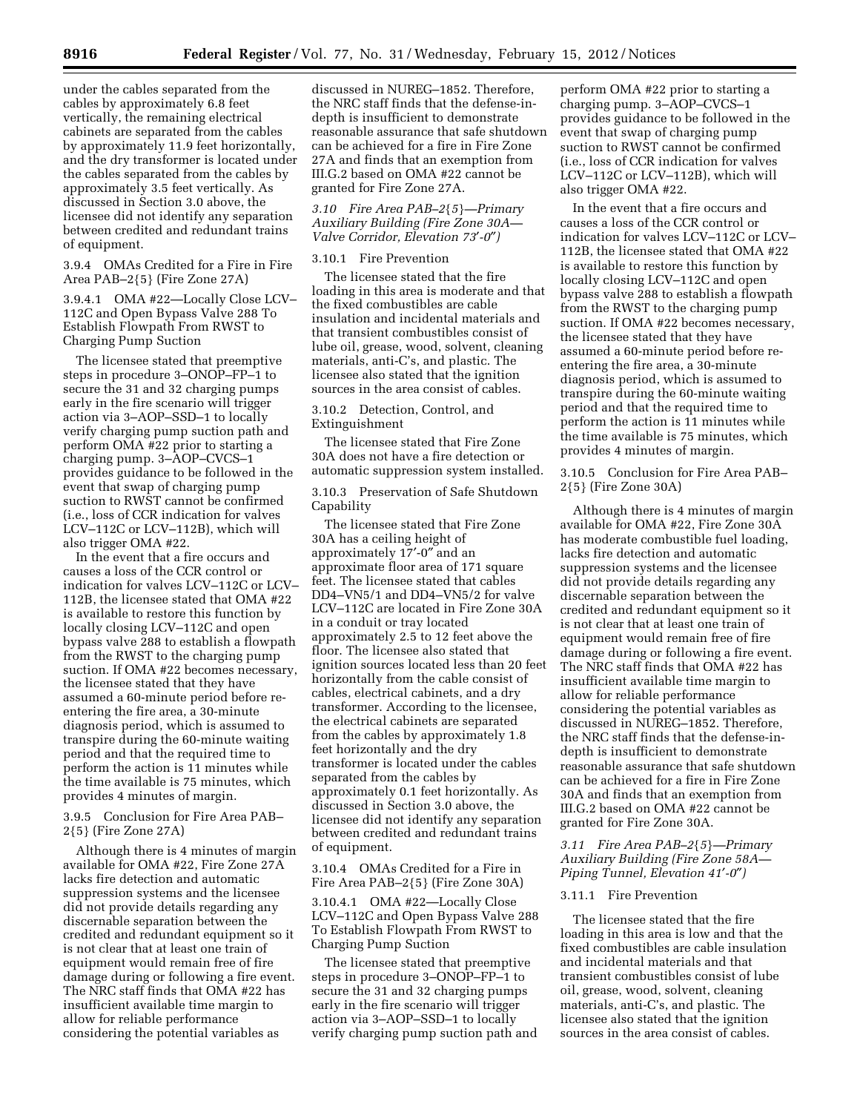under the cables separated from the cables by approximately 6.8 feet vertically, the remaining electrical cabinets are separated from the cables by approximately 11.9 feet horizontally, and the dry transformer is located under the cables separated from the cables by approximately 3.5 feet vertically. As discussed in Section 3.0 above, the licensee did not identify any separation between credited and redundant trains of equipment.

3.9.4 OMAs Credited for a Fire in Fire Area PAB–2{5} (Fire Zone 27A)

3.9.4.1 OMA #22—Locally Close LCV– 112C and Open Bypass Valve 288 To Establish Flowpath From RWST to Charging Pump Suction

The licensee stated that preemptive steps in procedure 3–ONOP–FP–1 to secure the 31 and 32 charging pumps early in the fire scenario will trigger action via 3–AOP–SSD–1 to locally verify charging pump suction path and perform OMA #22 prior to starting a charging pump. 3–AOP–CVCS–1 provides guidance to be followed in the event that swap of charging pump suction to RWST cannot be confirmed (i.e., loss of CCR indication for valves LCV–112C or LCV–112B), which will also trigger OMA #22.

In the event that a fire occurs and causes a loss of the CCR control or indication for valves LCV–112C or LCV– 112B, the licensee stated that OMA #22 is available to restore this function by locally closing LCV–112C and open bypass valve 288 to establish a flowpath from the RWST to the charging pump suction. If OMA #22 becomes necessary, the licensee stated that they have assumed a 60-minute period before reentering the fire area, a 30-minute diagnosis period, which is assumed to transpire during the 60-minute waiting period and that the required time to perform the action is 11 minutes while the time available is 75 minutes, which provides 4 minutes of margin.

# 3.9.5 Conclusion for Fire Area PAB– 2{5} (Fire Zone 27A)

Although there is 4 minutes of margin available for OMA #22, Fire Zone 27A lacks fire detection and automatic suppression systems and the licensee did not provide details regarding any discernable separation between the credited and redundant equipment so it is not clear that at least one train of equipment would remain free of fire damage during or following a fire event. The NRC staff finds that OMA #22 has insufficient available time margin to allow for reliable performance considering the potential variables as

discussed in NUREG–1852. Therefore, the NRC staff finds that the defense-indepth is insufficient to demonstrate reasonable assurance that safe shutdown can be achieved for a fire in Fire Zone 27A and finds that an exemption from III.G.2 based on OMA #22 cannot be granted for Fire Zone 27A.

### *3.10 Fire Area PAB–2*{*5*}*—Primary Auxiliary Building (Fire Zone 30A— Valve Corridor, Elevation 73*′*-0*″*)*

#### 3.10.1 Fire Prevention

The licensee stated that the fire loading in this area is moderate and that the fixed combustibles are cable insulation and incidental materials and that transient combustibles consist of lube oil, grease, wood, solvent, cleaning materials, anti-C's, and plastic. The licensee also stated that the ignition sources in the area consist of cables.

# 3.10.2 Detection, Control, and Extinguishment

The licensee stated that Fire Zone 30A does not have a fire detection or automatic suppression system installed.

3.10.3 Preservation of Safe Shutdown **Capability** 

The licensee stated that Fire Zone 30A has a ceiling height of approximately 17′-0″ and an approximate floor area of 171 square feet. The licensee stated that cables DD4–VN5/1 and DD4–VN5/2 for valve LCV–112C are located in Fire Zone 30A in a conduit or tray located approximately 2.5 to 12 feet above the floor. The licensee also stated that ignition sources located less than 20 feet horizontally from the cable consist of cables, electrical cabinets, and a dry transformer. According to the licensee, the electrical cabinets are separated from the cables by approximately 1.8 feet horizontally and the dry transformer is located under the cables separated from the cables by approximately 0.1 feet horizontally. As discussed in Section 3.0 above, the licensee did not identify any separation between credited and redundant trains of equipment.

# 3.10.4 OMAs Credited for a Fire in Fire Area PAB–2{5} (Fire Zone 30A)

3.10.4.1 OMA #22—Locally Close LCV–112C and Open Bypass Valve 288 To Establish Flowpath From RWST to Charging Pump Suction

The licensee stated that preemptive steps in procedure 3–ONOP–FP–1 to secure the 31 and 32 charging pumps early in the fire scenario will trigger action via 3–AOP–SSD–1 to locally verify charging pump suction path and

perform OMA #22 prior to starting a charging pump. 3–AOP–CVCS–1 provides guidance to be followed in the event that swap of charging pump suction to RWST cannot be confirmed (i.e., loss of CCR indication for valves LCV–112C or LCV–112B), which will also trigger OMA #22.

In the event that a fire occurs and causes a loss of the CCR control or indication for valves LCV–112C or LCV– 112B, the licensee stated that OMA #22 is available to restore this function by locally closing LCV–112C and open bypass valve 288 to establish a flowpath from the RWST to the charging pump suction. If OMA #22 becomes necessary, the licensee stated that they have assumed a 60-minute period before reentering the fire area, a 30-minute diagnosis period, which is assumed to transpire during the 60-minute waiting period and that the required time to perform the action is 11 minutes while the time available is 75 minutes, which provides 4 minutes of margin.

3.10.5 Conclusion for Fire Area PAB– 2{5} (Fire Zone 30A)

Although there is 4 minutes of margin available for OMA #22, Fire Zone 30A has moderate combustible fuel loading, lacks fire detection and automatic suppression systems and the licensee did not provide details regarding any discernable separation between the credited and redundant equipment so it is not clear that at least one train of equipment would remain free of fire damage during or following a fire event. The NRC staff finds that OMA #22 has insufficient available time margin to allow for reliable performance considering the potential variables as discussed in NUREG–1852. Therefore, the NRC staff finds that the defense-indepth is insufficient to demonstrate reasonable assurance that safe shutdown can be achieved for a fire in Fire Zone 30A and finds that an exemption from III.G.2 based on OMA #22 cannot be granted for Fire Zone 30A.

# *3.11 Fire Area PAB–2*{*5*}*—Primary Auxiliary Building (Fire Zone 58A— Piping Tunnel, Elevation 41*′*-0*″*)*

## 3.11.1 Fire Prevention

The licensee stated that the fire loading in this area is low and that the fixed combustibles are cable insulation and incidental materials and that transient combustibles consist of lube oil, grease, wood, solvent, cleaning materials, anti-C's, and plastic. The licensee also stated that the ignition sources in the area consist of cables.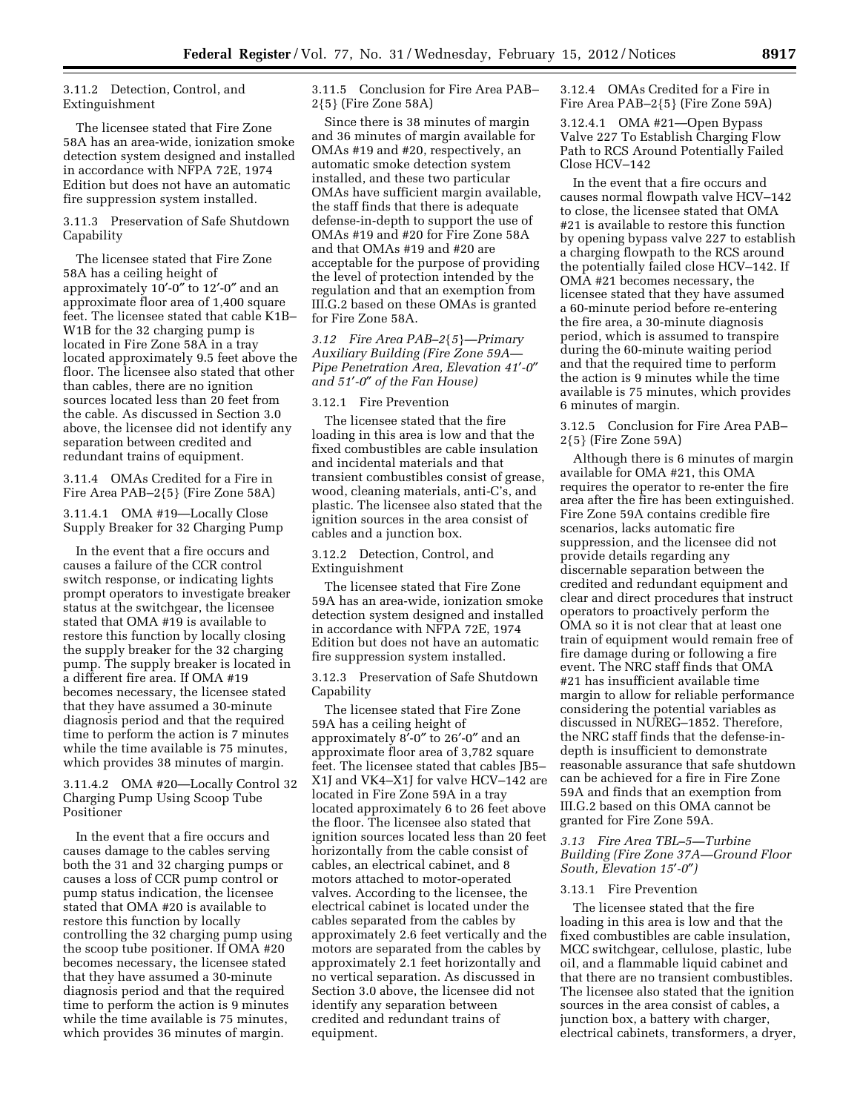3.11.2 Detection, Control, and Extinguishment

The licensee stated that Fire Zone 58A has an area-wide, ionization smoke detection system designed and installed in accordance with NFPA 72E, 1974 Edition but does not have an automatic fire suppression system installed.

3.11.3 Preservation of Safe Shutdown Capability

The licensee stated that Fire Zone 58A has a ceiling height of approximately 10′-0″ to 12′-0″ and an approximate floor area of 1,400 square feet. The licensee stated that cable K1B– W1B for the 32 charging pump is located in Fire Zone 58A in a tray located approximately 9.5 feet above the floor. The licensee also stated that other than cables, there are no ignition sources located less than 20 feet from the cable. As discussed in Section 3.0 above, the licensee did not identify any separation between credited and redundant trains of equipment.

3.11.4 OMAs Credited for a Fire in Fire Area PAB–2{5} (Fire Zone 58A)

3.11.4.1 OMA #19—Locally Close Supply Breaker for 32 Charging Pump

In the event that a fire occurs and causes a failure of the CCR control switch response, or indicating lights prompt operators to investigate breaker status at the switchgear, the licensee stated that OMA #19 is available to restore this function by locally closing the supply breaker for the 32 charging pump. The supply breaker is located in a different fire area. If OMA #19 becomes necessary, the licensee stated that they have assumed a 30-minute diagnosis period and that the required time to perform the action is 7 minutes while the time available is 75 minutes, which provides 38 minutes of margin.

3.11.4.2 OMA #20—Locally Control 32 Charging Pump Using Scoop Tube Positioner

In the event that a fire occurs and causes damage to the cables serving both the 31 and 32 charging pumps or causes a loss of CCR pump control or pump status indication, the licensee stated that OMA #20 is available to restore this function by locally controlling the 32 charging pump using the scoop tube positioner. If OMA #20 becomes necessary, the licensee stated that they have assumed a 30-minute diagnosis period and that the required time to perform the action is 9 minutes while the time available is 75 minutes, which provides 36 minutes of margin.

3.11.5 Conclusion for Fire Area PAB– 2{5} (Fire Zone 58A)

Since there is 38 minutes of margin and 36 minutes of margin available for OMAs #19 and #20, respectively, an automatic smoke detection system installed, and these two particular OMAs have sufficient margin available, the staff finds that there is adequate defense-in-depth to support the use of OMAs #19 and #20 for Fire Zone 58A and that OMAs #19 and #20 are acceptable for the purpose of providing the level of protection intended by the regulation and that an exemption from III.G.2 based on these OMAs is granted for Fire Zone 58A.

*3.12 Fire Area PAB–2*{*5*}*—Primary Auxiliary Building (Fire Zone 59A— Pipe Penetration Area, Elevation 41*′*-0*″ *and 51*′*-0*″ *of the Fan House)* 

## 3.12.1 Fire Prevention

The licensee stated that the fire loading in this area is low and that the fixed combustibles are cable insulation and incidental materials and that transient combustibles consist of grease, wood, cleaning materials, anti-C's, and plastic. The licensee also stated that the ignition sources in the area consist of cables and a junction box.

3.12.2 Detection, Control, and Extinguishment

The licensee stated that Fire Zone 59A has an area-wide, ionization smoke detection system designed and installed in accordance with NFPA 72E, 1974 Edition but does not have an automatic fire suppression system installed.

3.12.3 Preservation of Safe Shutdown Capability

The licensee stated that Fire Zone 59A has a ceiling height of approximately 8′-0″ to 26′-0″ and an approximate floor area of 3,782 square feet. The licensee stated that cables JB5– X1J and VK4–X1J for valve HCV–142 are located in Fire Zone 59A in a tray located approximately 6 to 26 feet above the floor. The licensee also stated that ignition sources located less than 20 feet horizontally from the cable consist of cables, an electrical cabinet, and 8 motors attached to motor-operated valves. According to the licensee, the electrical cabinet is located under the cables separated from the cables by approximately 2.6 feet vertically and the motors are separated from the cables by approximately 2.1 feet horizontally and no vertical separation. As discussed in Section 3.0 above, the licensee did not identify any separation between credited and redundant trains of equipment.

3.12.4 OMAs Credited for a Fire in Fire Area PAB–2{5} (Fire Zone 59A)

3.12.4.1 OMA #21—Open Bypass Valve 227 To Establish Charging Flow Path to RCS Around Potentially Failed Close HCV–142

In the event that a fire occurs and causes normal flowpath valve HCV–142 to close, the licensee stated that OMA #21 is available to restore this function by opening bypass valve 227 to establish a charging flowpath to the RCS around the potentially failed close HCV–142. If OMA #21 becomes necessary, the licensee stated that they have assumed a 60-minute period before re-entering the fire area, a 30-minute diagnosis period, which is assumed to transpire during the 60-minute waiting period and that the required time to perform the action is 9 minutes while the time available is 75 minutes, which provides 6 minutes of margin.

3.12.5 Conclusion for Fire Area PAB– 2{5} (Fire Zone 59A)

Although there is 6 minutes of margin available for OMA #21, this OMA requires the operator to re-enter the fire area after the fire has been extinguished. Fire Zone 59A contains credible fire scenarios, lacks automatic fire suppression, and the licensee did not provide details regarding any discernable separation between the credited and redundant equipment and clear and direct procedures that instruct operators to proactively perform the OMA so it is not clear that at least one train of equipment would remain free of fire damage during or following a fire event. The NRC staff finds that OMA #21 has insufficient available time margin to allow for reliable performance considering the potential variables as discussed in NUREG–1852. Therefore, the NRC staff finds that the defense-indepth is insufficient to demonstrate reasonable assurance that safe shutdown can be achieved for a fire in Fire Zone 59A and finds that an exemption from III.G.2 based on this OMA cannot be granted for Fire Zone 59A.

# *3.13 Fire Area TBL–5—Turbine Building (Fire Zone 37A—Ground Floor South, Elevation 15*′*-0*″*)*

#### 3.13.1 Fire Prevention

The licensee stated that the fire loading in this area is low and that the fixed combustibles are cable insulation, MCC switchgear, cellulose, plastic, lube oil, and a flammable liquid cabinet and that there are no transient combustibles. The licensee also stated that the ignition sources in the area consist of cables, a junction box, a battery with charger, electrical cabinets, transformers, a dryer,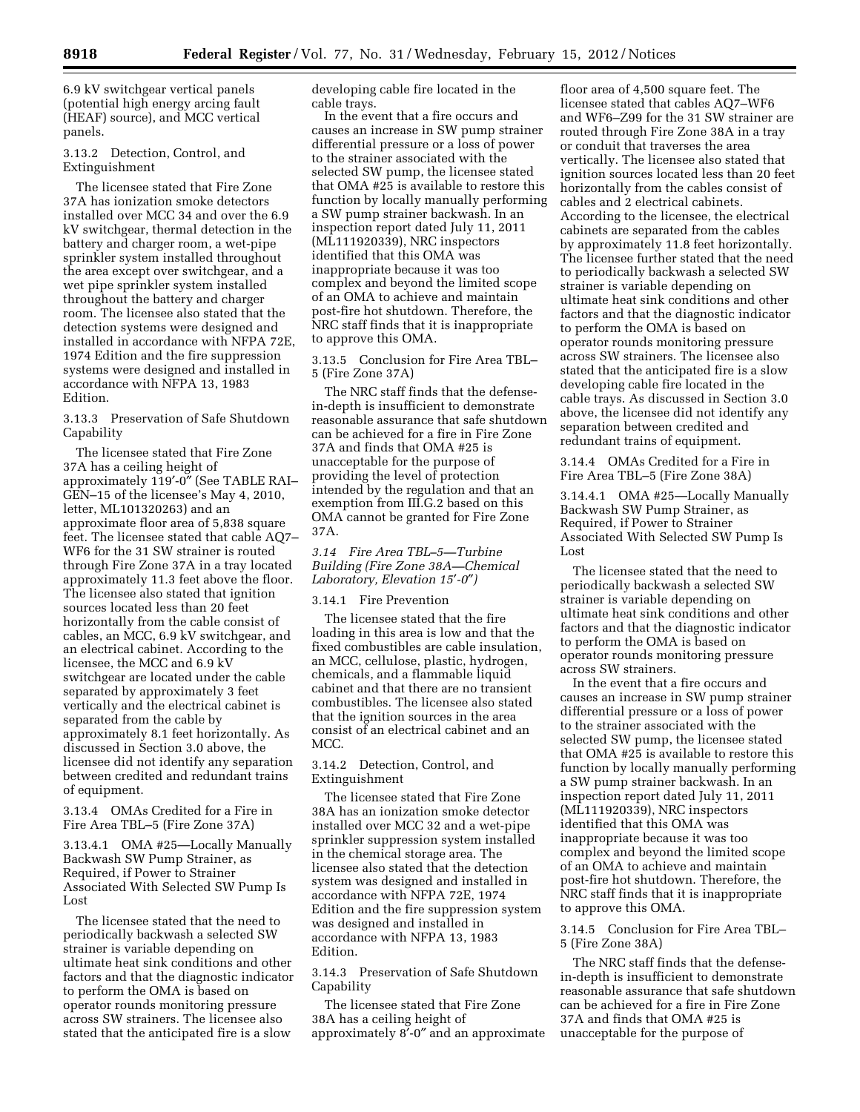6.9 kV switchgear vertical panels (potential high energy arcing fault (HEAF) source), and MCC vertical panels.

# 3.13.2 Detection, Control, and Extinguishment

The licensee stated that Fire Zone 37A has ionization smoke detectors installed over MCC 34 and over the 6.9 kV switchgear, thermal detection in the battery and charger room, a wet-pipe sprinkler system installed throughout the area except over switchgear, and a wet pipe sprinkler system installed throughout the battery and charger room. The licensee also stated that the detection systems were designed and installed in accordance with NFPA 72E, 1974 Edition and the fire suppression systems were designed and installed in accordance with NFPA 13, 1983 Edition.

3.13.3 Preservation of Safe Shutdown Capability

The licensee stated that Fire Zone 37A has a ceiling height of approximately 119′-0″ (See TABLE RAI– GEN–15 of the licensee's May 4, 2010, letter, ML101320263) and an approximate floor area of 5,838 square feet. The licensee stated that cable AQ7– WF6 for the 31 SW strainer is routed through Fire Zone 37A in a tray located approximately 11.3 feet above the floor. The licensee also stated that ignition sources located less than 20 feet horizontally from the cable consist of cables, an MCC, 6.9 kV switchgear, and an electrical cabinet. According to the licensee, the MCC and 6.9 kV switchgear are located under the cable separated by approximately 3 feet vertically and the electrical cabinet is separated from the cable by approximately 8.1 feet horizontally. As discussed in Section 3.0 above, the licensee did not identify any separation between credited and redundant trains of equipment.

3.13.4 OMAs Credited for a Fire in Fire Area TBL–5 (Fire Zone 37A)

3.13.4.1 OMA #25—Locally Manually Backwash SW Pump Strainer, as Required, if Power to Strainer Associated With Selected SW Pump Is Lost

The licensee stated that the need to periodically backwash a selected SW strainer is variable depending on ultimate heat sink conditions and other factors and that the diagnostic indicator to perform the OMA is based on operator rounds monitoring pressure across SW strainers. The licensee also stated that the anticipated fire is a slow

developing cable fire located in the cable trays.

In the event that a fire occurs and causes an increase in SW pump strainer differential pressure or a loss of power to the strainer associated with the selected SW pump, the licensee stated that OMA #25 is available to restore this function by locally manually performing a SW pump strainer backwash. In an inspection report dated July 11, 2011 (ML111920339), NRC inspectors identified that this OMA was inappropriate because it was too complex and beyond the limited scope of an OMA to achieve and maintain post-fire hot shutdown. Therefore, the NRC staff finds that it is inappropriate to approve this OMA.

3.13.5 Conclusion for Fire Area TBL– 5 (Fire Zone 37A)

The NRC staff finds that the defensein-depth is insufficient to demonstrate reasonable assurance that safe shutdown can be achieved for a fire in Fire Zone 37A and finds that OMA #25 is unacceptable for the purpose of providing the level of protection intended by the regulation and that an exemption from III.G.2 based on this OMA cannot be granted for Fire Zone 37A.

*3.14 Fire Area TBL–5—Turbine Building (Fire Zone 38A—Chemical Laboratory, Elevation 15*′*-0*″*)* 

#### 3.14.1 Fire Prevention

The licensee stated that the fire loading in this area is low and that the fixed combustibles are cable insulation, an MCC, cellulose, plastic, hydrogen, chemicals, and a flammable liquid cabinet and that there are no transient combustibles. The licensee also stated that the ignition sources in the area consist of an electrical cabinet and an MCC.

# 3.14.2 Detection, Control, and Extinguishment

The licensee stated that Fire Zone 38A has an ionization smoke detector installed over MCC 32 and a wet-pipe sprinkler suppression system installed in the chemical storage area. The licensee also stated that the detection system was designed and installed in accordance with NFPA 72E, 1974 Edition and the fire suppression system was designed and installed in accordance with NFPA 13, 1983 Edition.

3.14.3 Preservation of Safe Shutdown Capability

The licensee stated that Fire Zone 38A has a ceiling height of approximately 8′-0″ and an approximate

floor area of 4,500 square feet. The licensee stated that cables AQ7–WF6 and WF6–Z99 for the 31 SW strainer are routed through Fire Zone 38A in a tray or conduit that traverses the area vertically. The licensee also stated that ignition sources located less than 20 feet horizontally from the cables consist of cables and 2 electrical cabinets. According to the licensee, the electrical cabinets are separated from the cables by approximately 11.8 feet horizontally. The licensee further stated that the need to periodically backwash a selected SW strainer is variable depending on ultimate heat sink conditions and other factors and that the diagnostic indicator to perform the OMA is based on operator rounds monitoring pressure across SW strainers. The licensee also stated that the anticipated fire is a slow developing cable fire located in the cable trays. As discussed in Section 3.0 above, the licensee did not identify any separation between credited and redundant trains of equipment.

3.14.4 OMAs Credited for a Fire in Fire Area TBL–5 (Fire Zone 38A)

3.14.4.1 OMA #25—Locally Manually Backwash SW Pump Strainer, as Required, if Power to Strainer Associated With Selected SW Pump Is Lost

The licensee stated that the need to periodically backwash a selected SW strainer is variable depending on ultimate heat sink conditions and other factors and that the diagnostic indicator to perform the OMA is based on operator rounds monitoring pressure across SW strainers.

In the event that a fire occurs and causes an increase in SW pump strainer differential pressure or a loss of power to the strainer associated with the selected SW pump, the licensee stated that OMA #25 is available to restore this function by locally manually performing a SW pump strainer backwash. In an inspection report dated July 11, 2011 (ML111920339), NRC inspectors identified that this OMA was inappropriate because it was too complex and beyond the limited scope of an OMA to achieve and maintain post-fire hot shutdown. Therefore, the NRC staff finds that it is inappropriate to approve this OMA.

3.14.5 Conclusion for Fire Area TBL– 5 (Fire Zone 38A)

The NRC staff finds that the defensein-depth is insufficient to demonstrate reasonable assurance that safe shutdown can be achieved for a fire in Fire Zone 37A and finds that OMA #25 is unacceptable for the purpose of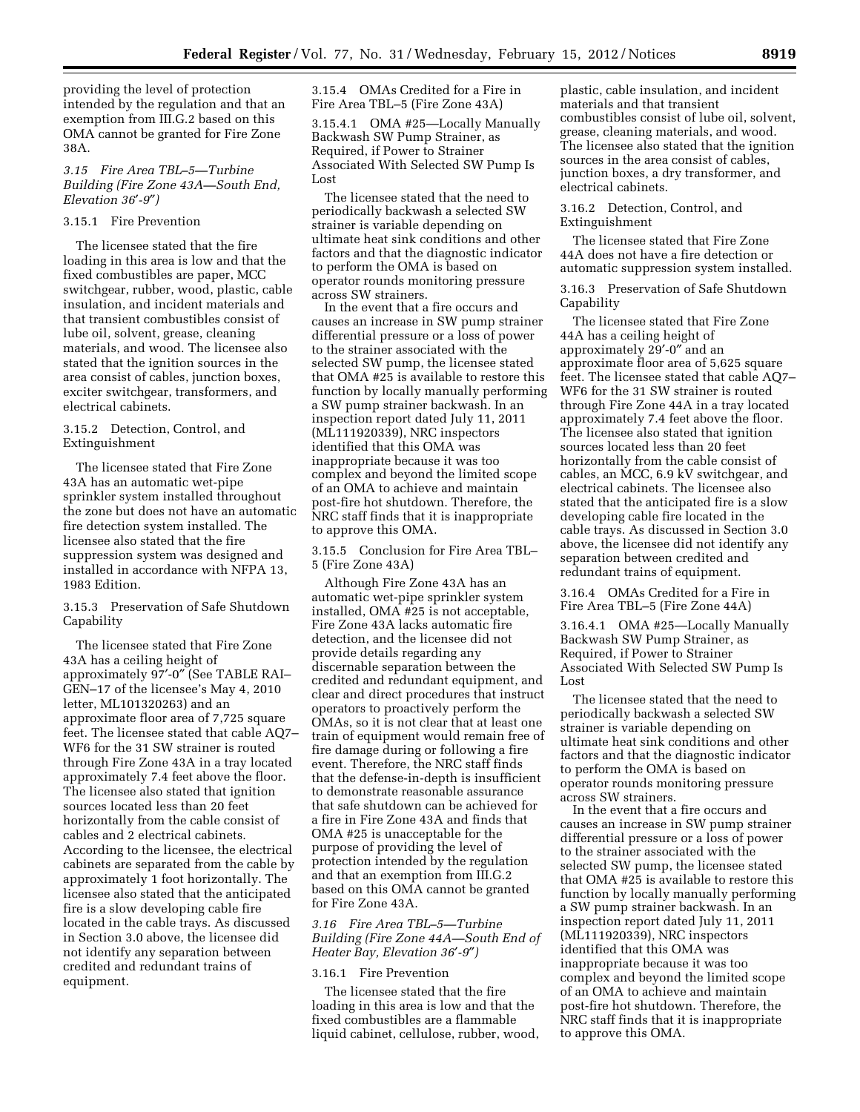providing the level of protection intended by the regulation and that an exemption from III.G.2 based on this OMA cannot be granted for Fire Zone 38A.

*3.15 Fire Area TBL–5—Turbine Building (Fire Zone 43A—South End, Elevation 36*′*-9*″*)* 

# 3.15.1 Fire Prevention

The licensee stated that the fire loading in this area is low and that the fixed combustibles are paper, MCC switchgear, rubber, wood, plastic, cable insulation, and incident materials and that transient combustibles consist of lube oil, solvent, grease, cleaning materials, and wood. The licensee also stated that the ignition sources in the area consist of cables, junction boxes, exciter switchgear, transformers, and electrical cabinets.

3.15.2 Detection, Control, and Extinguishment

The licensee stated that Fire Zone 43A has an automatic wet-pipe sprinkler system installed throughout the zone but does not have an automatic fire detection system installed. The licensee also stated that the fire suppression system was designed and installed in accordance with NFPA 13, 1983 Edition.

3.15.3 Preservation of Safe Shutdown Capability

The licensee stated that Fire Zone 43A has a ceiling height of approximately 97′-0″ (See TABLE RAI– GEN–17 of the licensee's May 4, 2010 letter, ML101320263) and an approximate floor area of 7,725 square feet. The licensee stated that cable AQ7– WF6 for the 31 SW strainer is routed through Fire Zone 43A in a tray located approximately 7.4 feet above the floor. The licensee also stated that ignition sources located less than 20 feet horizontally from the cable consist of cables and 2 electrical cabinets. According to the licensee, the electrical cabinets are separated from the cable by approximately 1 foot horizontally. The licensee also stated that the anticipated fire is a slow developing cable fire located in the cable trays. As discussed in Section 3.0 above, the licensee did not identify any separation between credited and redundant trains of equipment.

3.15.4 OMAs Credited for a Fire in Fire Area TBL–5 (Fire Zone 43A)

3.15.4.1 OMA #25—Locally Manually Backwash SW Pump Strainer, as Required, if Power to Strainer Associated With Selected SW Pump Is Lost

The licensee stated that the need to periodically backwash a selected SW strainer is variable depending on ultimate heat sink conditions and other factors and that the diagnostic indicator to perform the OMA is based on operator rounds monitoring pressure across SW strainers.

In the event that a fire occurs and causes an increase in SW pump strainer differential pressure or a loss of power to the strainer associated with the selected SW pump, the licensee stated that OMA #25 is available to restore this function by locally manually performing a SW pump strainer backwash. In an inspection report dated July 11, 2011 (ML111920339), NRC inspectors identified that this OMA was inappropriate because it was too complex and beyond the limited scope of an OMA to achieve and maintain post-fire hot shutdown. Therefore, the NRC staff finds that it is inappropriate to approve this OMA.

3.15.5 Conclusion for Fire Area TBL– 5 (Fire Zone 43A)

Although Fire Zone 43A has an automatic wet-pipe sprinkler system installed, OMA #25 is not acceptable, Fire Zone 43A lacks automatic fire detection, and the licensee did not provide details regarding any discernable separation between the credited and redundant equipment, and clear and direct procedures that instruct operators to proactively perform the OMAs, so it is not clear that at least one train of equipment would remain free of fire damage during or following a fire event. Therefore, the NRC staff finds that the defense-in-depth is insufficient to demonstrate reasonable assurance that safe shutdown can be achieved for a fire in Fire Zone 43A and finds that OMA #25 is unacceptable for the purpose of providing the level of protection intended by the regulation and that an exemption from III.G.2 based on this OMA cannot be granted for Fire Zone 43A.

*3.16 Fire Area TBL–5—Turbine Building (Fire Zone 44A—South End of Heater Bay, Elevation 36*′*-9*″*)* 

#### 3.16.1 Fire Prevention

The licensee stated that the fire loading in this area is low and that the fixed combustibles are a flammable liquid cabinet, cellulose, rubber, wood,

plastic, cable insulation, and incident materials and that transient combustibles consist of lube oil, solvent, grease, cleaning materials, and wood. The licensee also stated that the ignition sources in the area consist of cables, junction boxes, a dry transformer, and electrical cabinets.

3.16.2 Detection, Control, and Extinguishment

The licensee stated that Fire Zone 44A does not have a fire detection or automatic suppression system installed.

3.16.3 Preservation of Safe Shutdown Capability

The licensee stated that Fire Zone 44A has a ceiling height of approximately 29′-0″ and an approximate floor area of 5,625 square feet. The licensee stated that cable AQ7– WF6 for the 31 SW strainer is routed through Fire Zone 44A in a tray located approximately 7.4 feet above the floor. The licensee also stated that ignition sources located less than 20 feet horizontally from the cable consist of cables, an MCC, 6.9 kV switchgear, and electrical cabinets. The licensee also stated that the anticipated fire is a slow developing cable fire located in the cable trays. As discussed in Section 3.0 above, the licensee did not identify any separation between credited and redundant trains of equipment.

3.16.4 OMAs Credited for a Fire in Fire Area TBL–5 (Fire Zone 44A)

3.16.4.1 OMA #25—Locally Manually Backwash SW Pump Strainer, as Required, if Power to Strainer Associated With Selected SW Pump Is Lost

The licensee stated that the need to periodically backwash a selected SW strainer is variable depending on ultimate heat sink conditions and other factors and that the diagnostic indicator to perform the OMA is based on operator rounds monitoring pressure across SW strainers.

In the event that a fire occurs and causes an increase in SW pump strainer differential pressure or a loss of power to the strainer associated with the selected SW pump, the licensee stated that OMA #25 is available to restore this function by locally manually performing a SW pump strainer backwash. In an inspection report dated July 11, 2011 (ML111920339), NRC inspectors identified that this OMA was inappropriate because it was too complex and beyond the limited scope of an OMA to achieve and maintain post-fire hot shutdown. Therefore, the NRC staff finds that it is inappropriate to approve this OMA.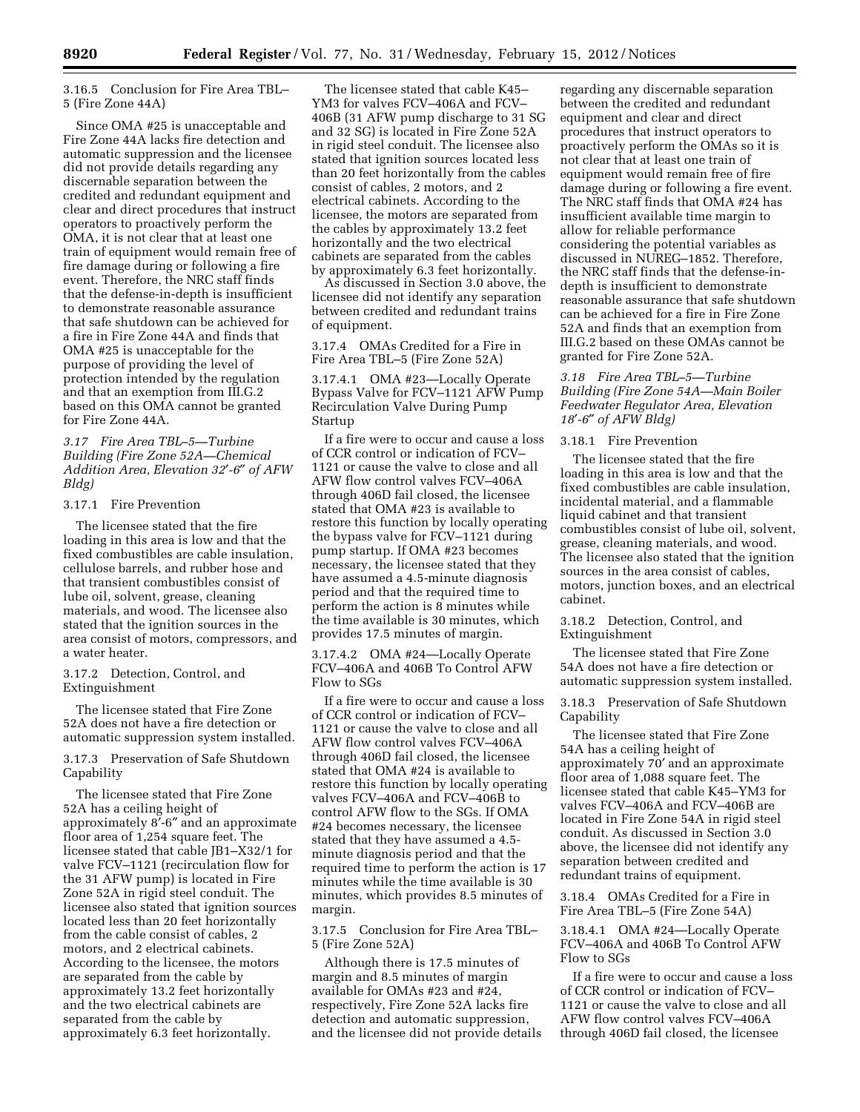# 3.16.5 Conclusion for Fire Area TBL– 5 (Fire Zone 44A)

Since OMA #25 is unacceptable and Fire Zone 44A lacks fire detection and automatic suppression and the licensee did not provide details regarding any discernable separation between the credited and redundant equipment and clear and direct procedures that instruct operators to proactively perform the OMA, it is not clear that at least one train of equipment would remain free of fire damage during or following a fire event. Therefore, the NRC staff finds that the defense-in-depth is insufficient to demonstrate reasonable assurance that safe shutdown can be achieved for a fire in Fire Zone 44A and finds that OMA #25 is unacceptable for the purpose of providing the level of protection intended by the regulation and that an exemption from III.G.2 based on this OMA cannot be granted for Fire Zone 44A.

*3.17 Fire Area TBL–5—Turbine Building (Fire Zone 52A—Chemical Addition Area, Elevation 32*′*-6*″ *of AFW Bldg)* 

#### 3.17.1 Fire Prevention

The licensee stated that the fire loading in this area is low and that the fixed combustibles are cable insulation, cellulose barrels, and rubber hose and that transient combustibles consist of lube oil, solvent, grease, cleaning materials, and wood. The licensee also stated that the ignition sources in the area consist of motors, compressors, and a water heater.

## 3.17.2 Detection, Control, and Extinguishment

The licensee stated that Fire Zone 52A does not have a fire detection or automatic suppression system installed.

3.17.3 Preservation of Safe Shutdown Capability

The licensee stated that Fire Zone 52A has a ceiling height of approximately 8′-6″ and an approximate floor area of 1,254 square feet. The licensee stated that cable JB1–X32/1 for valve FCV–1121 (recirculation flow for the 31 AFW pump) is located in Fire Zone 52A in rigid steel conduit. The licensee also stated that ignition sources located less than 20 feet horizontally from the cable consist of cables, 2 motors, and 2 electrical cabinets. According to the licensee, the motors are separated from the cable by approximately 13.2 feet horizontally and the two electrical cabinets are separated from the cable by approximately 6.3 feet horizontally.

The licensee stated that cable K45– YM3 for valves FCV–406A and FCV– 406B (31 AFW pump discharge to 31 SG and 32 SG) is located in Fire Zone 52A in rigid steel conduit. The licensee also stated that ignition sources located less than 20 feet horizontally from the cables consist of cables, 2 motors, and 2 electrical cabinets. According to the licensee, the motors are separated from the cables by approximately 13.2 feet horizontally and the two electrical cabinets are separated from the cables by approximately 6.3 feet horizontally.

As discussed in Section 3.0 above, the licensee did not identify any separation between credited and redundant trains of equipment.

3.17.4 OMAs Credited for a Fire in Fire Area TBL–5 (Fire Zone 52A)

3.17.4.1 OMA #23—Locally Operate Bypass Valve for FCV–1121 AFW Pump Recirculation Valve During Pump Startup

If a fire were to occur and cause a loss of CCR control or indication of FCV– 1121 or cause the valve to close and all AFW flow control valves FCV–406A through 406D fail closed, the licensee stated that OMA #23 is available to restore this function by locally operating the bypass valve for FCV–1121 during pump startup. If OMA #23 becomes necessary, the licensee stated that they have assumed a 4.5-minute diagnosis period and that the required time to perform the action is 8 minutes while the time available is 30 minutes, which provides 17.5 minutes of margin.

3.17.4.2 OMA #24—Locally Operate FCV–406A and 406B To Control AFW Flow to SGs

If a fire were to occur and cause a loss of CCR control or indication of FCV– 1121 or cause the valve to close and all AFW flow control valves FCV–406A through 406D fail closed, the licensee stated that OMA #24 is available to restore this function by locally operating valves FCV–406A and FCV–406B to control AFW flow to the SGs. If OMA #24 becomes necessary, the licensee stated that they have assumed a 4.5 minute diagnosis period and that the required time to perform the action is 17 minutes while the time available is 30 minutes, which provides 8.5 minutes of margin.

3.17.5 Conclusion for Fire Area TBL– 5 (Fire Zone 52A)

Although there is 17.5 minutes of margin and 8.5 minutes of margin available for OMAs #23 and #24, respectively, Fire Zone 52A lacks fire detection and automatic suppression, and the licensee did not provide details regarding any discernable separation between the credited and redundant equipment and clear and direct procedures that instruct operators to proactively perform the OMAs so it is not clear that at least one train of equipment would remain free of fire damage during or following a fire event. The NRC staff finds that OMA #24 has insufficient available time margin to allow for reliable performance considering the potential variables as discussed in NUREG–1852. Therefore, the NRC staff finds that the defense-indepth is insufficient to demonstrate reasonable assurance that safe shutdown can be achieved for a fire in Fire Zone 52A and finds that an exemption from III.G.2 based on these OMAs cannot be granted for Fire Zone 52A.

*3.18 Fire Area TBL–5—Turbine Building (Fire Zone 54A—Main Boiler Feedwater Regulator Area, Elevation 18*′*-6*″ *of AFW Bldg)* 

# 3.18.1 Fire Prevention

The licensee stated that the fire loading in this area is low and that the fixed combustibles are cable insulation, incidental material, and a flammable liquid cabinet and that transient combustibles consist of lube oil, solvent, grease, cleaning materials, and wood. The licensee also stated that the ignition sources in the area consist of cables, motors, junction boxes, and an electrical cabinet.

3.18.2 Detection, Control, and Extinguishment

The licensee stated that Fire Zone 54A does not have a fire detection or automatic suppression system installed.

3.18.3 Preservation of Safe Shutdown Capability

The licensee stated that Fire Zone 54A has a ceiling height of approximately 70′ and an approximate floor area of 1,088 square feet. The licensee stated that cable K45–YM3 for valves FCV–406A and FCV–406B are located in Fire Zone 54A in rigid steel conduit. As discussed in Section 3.0 above, the licensee did not identify any separation between credited and redundant trains of equipment.

3.18.4 OMAs Credited for a Fire in Fire Area TBL–5 (Fire Zone 54A)

3.18.4.1 OMA #24—Locally Operate FCV–406A and 406B To Control AFW Flow to SGs

If a fire were to occur and cause a loss of CCR control or indication of FCV– 1121 or cause the valve to close and all AFW flow control valves FCV–406A through 406D fail closed, the licensee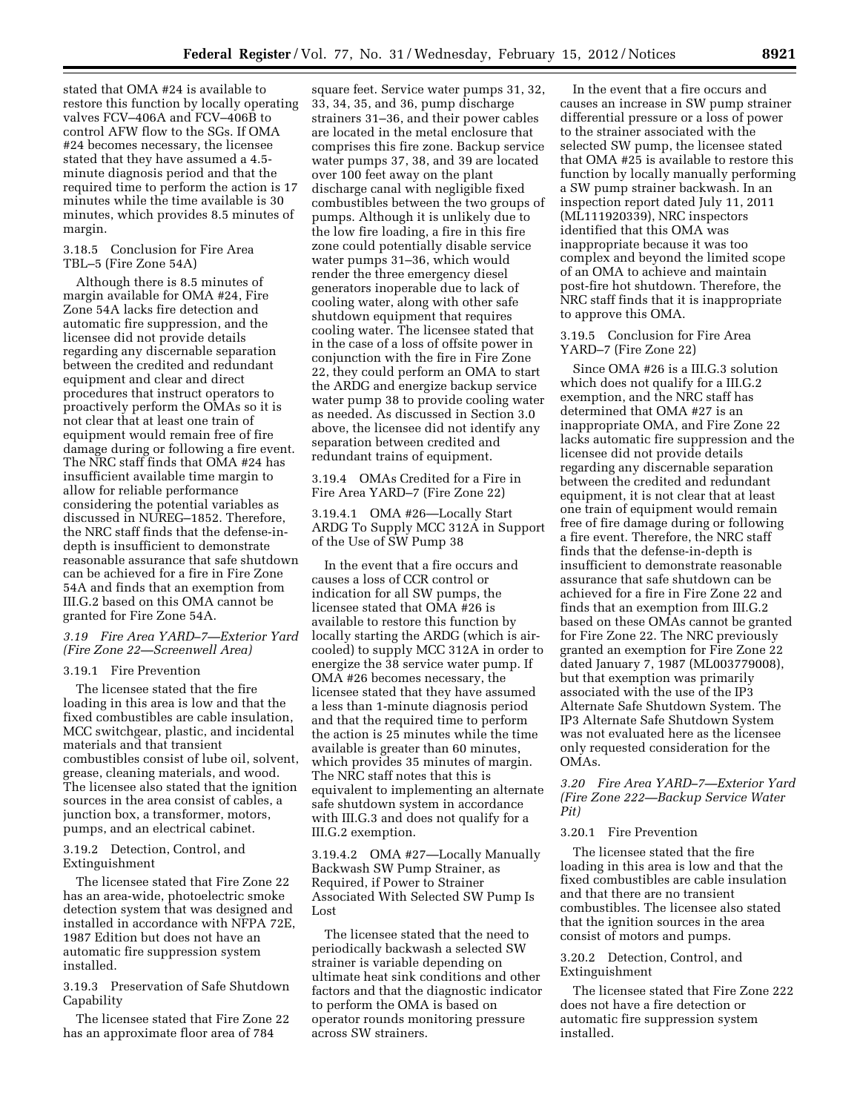stated that OMA #24 is available to restore this function by locally operating valves FCV–406A and FCV–406B to control AFW flow to the SGs. If OMA #24 becomes necessary, the licensee stated that they have assumed a 4.5 minute diagnosis period and that the required time to perform the action is 17 minutes while the time available is 30 minutes, which provides 8.5 minutes of margin.

# 3.18.5 Conclusion for Fire Area TBL–5 (Fire Zone 54A)

Although there is 8.5 minutes of margin available for OMA #24, Fire Zone 54A lacks fire detection and automatic fire suppression, and the licensee did not provide details regarding any discernable separation between the credited and redundant equipment and clear and direct procedures that instruct operators to proactively perform the OMAs so it is not clear that at least one train of equipment would remain free of fire damage during or following a fire event. The NRC staff finds that OMA #24 has insufficient available time margin to allow for reliable performance considering the potential variables as discussed in NUREG–1852. Therefore, the NRC staff finds that the defense-indepth is insufficient to demonstrate reasonable assurance that safe shutdown can be achieved for a fire in Fire Zone 54A and finds that an exemption from III.G.2 based on this OMA cannot be granted for Fire Zone 54A.

# *3.19 Fire Area YARD–7—Exterior Yard (Fire Zone 22—Screenwell Area)*

## 3.19.1 Fire Prevention

The licensee stated that the fire loading in this area is low and that the fixed combustibles are cable insulation, MCC switchgear, plastic, and incidental materials and that transient combustibles consist of lube oil, solvent, grease, cleaning materials, and wood. The licensee also stated that the ignition sources in the area consist of cables, a junction box, a transformer, motors, pumps, and an electrical cabinet.

# 3.19.2 Detection, Control, and Extinguishment

The licensee stated that Fire Zone 22 has an area-wide, photoelectric smoke detection system that was designed and installed in accordance with NFPA 72E, 1987 Edition but does not have an automatic fire suppression system installed.

3.19.3 Preservation of Safe Shutdown Capability

The licensee stated that Fire Zone 22 has an approximate floor area of 784

square feet. Service water pumps 31, 32, 33, 34, 35, and 36, pump discharge strainers 31–36, and their power cables are located in the metal enclosure that comprises this fire zone. Backup service water pumps 37, 38, and 39 are located over 100 feet away on the plant discharge canal with negligible fixed combustibles between the two groups of pumps. Although it is unlikely due to the low fire loading, a fire in this fire zone could potentially disable service water pumps 31–36, which would render the three emergency diesel generators inoperable due to lack of cooling water, along with other safe shutdown equipment that requires cooling water. The licensee stated that in the case of a loss of offsite power in conjunction with the fire in Fire Zone 22, they could perform an OMA to start the ARDG and energize backup service water pump 38 to provide cooling water as needed. As discussed in Section 3.0 above, the licensee did not identify any separation between credited and redundant trains of equipment.

3.19.4 OMAs Credited for a Fire in Fire Area YARD–7 (Fire Zone 22)

3.19.4.1 OMA #26—Locally Start ARDG To Supply MCC 312A in Support of the Use of SW Pump 38

In the event that a fire occurs and causes a loss of CCR control or indication for all SW pumps, the licensee stated that OMA #26 is available to restore this function by locally starting the ARDG (which is aircooled) to supply MCC 312A in order to energize the 38 service water pump. If OMA #26 becomes necessary, the licensee stated that they have assumed a less than 1-minute diagnosis period and that the required time to perform the action is 25 minutes while the time available is greater than 60 minutes, which provides 35 minutes of margin. The NRC staff notes that this is equivalent to implementing an alternate safe shutdown system in accordance with III.G.3 and does not qualify for a III.G.2 exemption.

3.19.4.2 OMA #27—Locally Manually Backwash SW Pump Strainer, as Required, if Power to Strainer Associated With Selected SW Pump Is Lost

The licensee stated that the need to periodically backwash a selected SW strainer is variable depending on ultimate heat sink conditions and other factors and that the diagnostic indicator to perform the OMA is based on operator rounds monitoring pressure across SW strainers.

In the event that a fire occurs and causes an increase in SW pump strainer differential pressure or a loss of power to the strainer associated with the selected SW pump, the licensee stated that OMA #25 is available to restore this function by locally manually performing a SW pump strainer backwash. In an inspection report dated July 11, 2011 (ML111920339), NRC inspectors identified that this OMA was inappropriate because it was too complex and beyond the limited scope of an OMA to achieve and maintain post-fire hot shutdown. Therefore, the NRC staff finds that it is inappropriate to approve this OMA.

## 3.19.5 Conclusion for Fire Area YARD–7 (Fire Zone 22)

Since OMA #26 is a III.G.3 solution which does not qualify for a III.G.2 exemption, and the NRC staff has determined that OMA #27 is an inappropriate OMA, and Fire Zone 22 lacks automatic fire suppression and the licensee did not provide details regarding any discernable separation between the credited and redundant equipment, it is not clear that at least one train of equipment would remain free of fire damage during or following a fire event. Therefore, the NRC staff finds that the defense-in-depth is insufficient to demonstrate reasonable assurance that safe shutdown can be achieved for a fire in Fire Zone 22 and finds that an exemption from III.G.2 based on these OMAs cannot be granted for Fire Zone 22. The NRC previously granted an exemption for Fire Zone 22 dated January 7, 1987 (ML003779008), but that exemption was primarily associated with the use of the IP3 Alternate Safe Shutdown System. The IP3 Alternate Safe Shutdown System was not evaluated here as the licensee only requested consideration for the OMAs.

*3.20 Fire Area YARD–7—Exterior Yard (Fire Zone 222—Backup Service Water Pit)* 

## 3.20.1 Fire Prevention

The licensee stated that the fire loading in this area is low and that the fixed combustibles are cable insulation and that there are no transient combustibles. The licensee also stated that the ignition sources in the area consist of motors and pumps.

# 3.20.2 Detection, Control, and Extinguishment

The licensee stated that Fire Zone 222 does not have a fire detection or automatic fire suppression system installed.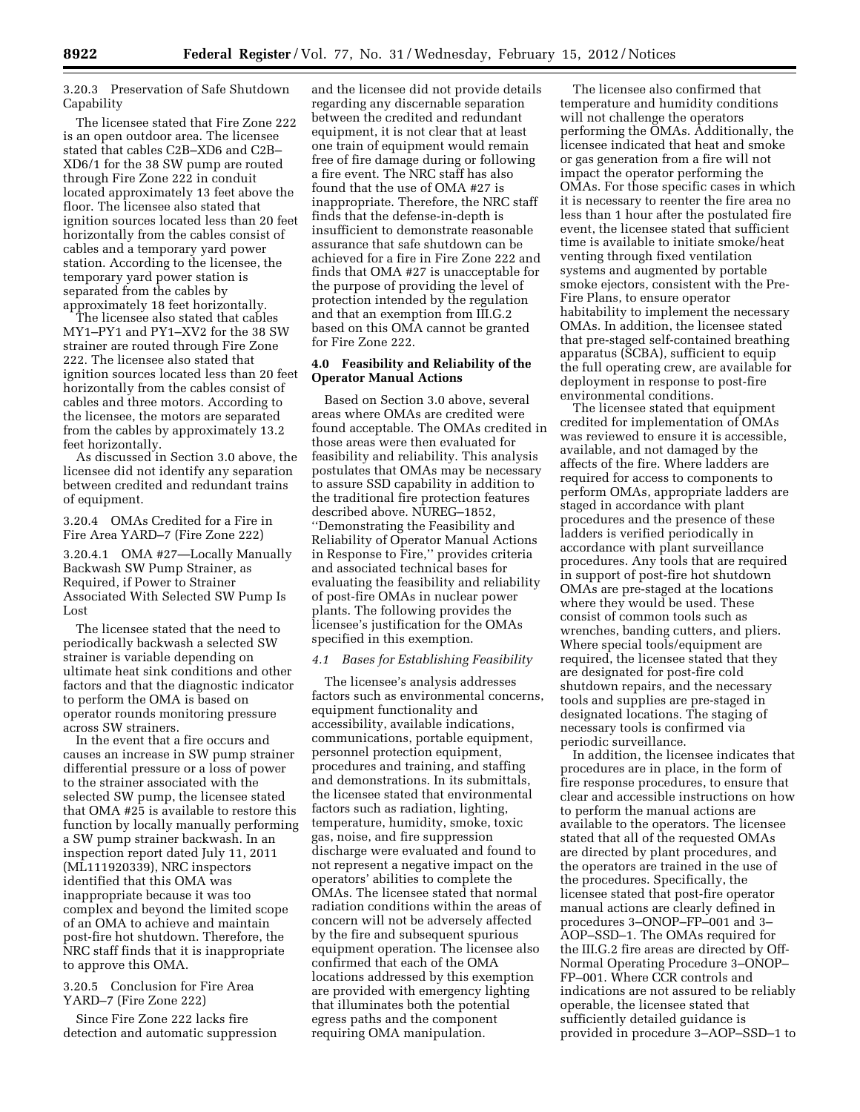3.20.3 Preservation of Safe Shutdown **Capability** 

The licensee stated that Fire Zone 222 is an open outdoor area. The licensee stated that cables C2B–XD6 and C2B– XD6/1 for the 38 SW pump are routed through Fire Zone 222 in conduit located approximately 13 feet above the floor. The licensee also stated that ignition sources located less than 20 feet horizontally from the cables consist of cables and a temporary yard power station. According to the licensee, the temporary yard power station is separated from the cables by approximately 18 feet horizontally.

The licensee also stated that cables MY1–PY1 and PY1–XV2 for the 38 SW strainer are routed through Fire Zone 222. The licensee also stated that ignition sources located less than 20 feet horizontally from the cables consist of cables and three motors. According to the licensee, the motors are separated from the cables by approximately 13.2 feet horizontally.

As discussed in Section 3.0 above, the licensee did not identify any separation between credited and redundant trains of equipment.

# 3.20.4 OMAs Credited for a Fire in Fire Area YARD–7 (Fire Zone 222)

3.20.4.1 OMA #27—Locally Manually Backwash SW Pump Strainer, as Required, if Power to Strainer Associated With Selected SW Pump Is Lost

The licensee stated that the need to periodically backwash a selected SW strainer is variable depending on ultimate heat sink conditions and other factors and that the diagnostic indicator to perform the OMA is based on operator rounds monitoring pressure across SW strainers.

In the event that a fire occurs and causes an increase in SW pump strainer differential pressure or a loss of power to the strainer associated with the selected SW pump, the licensee stated that OMA #25 is available to restore this function by locally manually performing a SW pump strainer backwash. In an inspection report dated July 11, 2011 (ML111920339), NRC inspectors identified that this OMA was inappropriate because it was too complex and beyond the limited scope of an OMA to achieve and maintain post-fire hot shutdown. Therefore, the NRC staff finds that it is inappropriate to approve this OMA.

3.20.5 Conclusion for Fire Area YARD–7 (Fire Zone 222)

Since Fire Zone 222 lacks fire detection and automatic suppression

and the licensee did not provide details regarding any discernable separation between the credited and redundant equipment, it is not clear that at least one train of equipment would remain free of fire damage during or following a fire event. The NRC staff has also found that the use of OMA #27 is inappropriate. Therefore, the NRC staff finds that the defense-in-depth is insufficient to demonstrate reasonable assurance that safe shutdown can be achieved for a fire in Fire Zone 222 and finds that OMA #27 is unacceptable for the purpose of providing the level of protection intended by the regulation and that an exemption from III.G.2 based on this OMA cannot be granted for Fire Zone 222.

# **4.0 Feasibility and Reliability of the Operator Manual Actions**

Based on Section 3.0 above, several areas where OMAs are credited were found acceptable. The OMAs credited in those areas were then evaluated for feasibility and reliability. This analysis postulates that OMAs may be necessary to assure SSD capability in addition to the traditional fire protection features described above. NUREG–1852, ''Demonstrating the Feasibility and Reliability of Operator Manual Actions in Response to Fire,'' provides criteria and associated technical bases for evaluating the feasibility and reliability of post-fire OMAs in nuclear power plants. The following provides the licensee's justification for the OMAs specified in this exemption.

# *4.1 Bases for Establishing Feasibility*

The licensee's analysis addresses factors such as environmental concerns, equipment functionality and accessibility, available indications, communications, portable equipment, personnel protection equipment, procedures and training, and staffing and demonstrations. In its submittals, the licensee stated that environmental factors such as radiation, lighting, temperature, humidity, smoke, toxic gas, noise, and fire suppression discharge were evaluated and found to not represent a negative impact on the operators' abilities to complete the OMAs. The licensee stated that normal radiation conditions within the areas of concern will not be adversely affected by the fire and subsequent spurious equipment operation. The licensee also confirmed that each of the OMA locations addressed by this exemption are provided with emergency lighting that illuminates both the potential egress paths and the component requiring OMA manipulation.

The licensee also confirmed that temperature and humidity conditions will not challenge the operators performing the OMAs. Additionally, the licensee indicated that heat and smoke or gas generation from a fire will not impact the operator performing the OMAs. For those specific cases in which it is necessary to reenter the fire area no less than 1 hour after the postulated fire event, the licensee stated that sufficient time is available to initiate smoke/heat venting through fixed ventilation systems and augmented by portable smoke ejectors, consistent with the Pre-Fire Plans, to ensure operator habitability to implement the necessary OMAs. In addition, the licensee stated that pre-staged self-contained breathing apparatus (SCBA), sufficient to equip the full operating crew, are available for deployment in response to post-fire environmental conditions.

The licensee stated that equipment credited for implementation of OMAs was reviewed to ensure it is accessible, available, and not damaged by the affects of the fire. Where ladders are required for access to components to perform OMAs, appropriate ladders are staged in accordance with plant procedures and the presence of these ladders is verified periodically in accordance with plant surveillance procedures. Any tools that are required in support of post-fire hot shutdown OMAs are pre-staged at the locations where they would be used. These consist of common tools such as wrenches, banding cutters, and pliers. Where special tools/equipment are required, the licensee stated that they are designated for post-fire cold shutdown repairs, and the necessary tools and supplies are pre-staged in designated locations. The staging of necessary tools is confirmed via periodic surveillance.

In addition, the licensee indicates that procedures are in place, in the form of fire response procedures, to ensure that clear and accessible instructions on how to perform the manual actions are available to the operators. The licensee stated that all of the requested OMAs are directed by plant procedures, and the operators are trained in the use of the procedures. Specifically, the licensee stated that post-fire operator manual actions are clearly defined in procedures 3–ONOP–FP–001 and 3– AOP–SSD–1. The OMAs required for the III.G.2 fire areas are directed by Off-Normal Operating Procedure 3–ONOP– FP–001. Where CCR controls and indications are not assured to be reliably operable, the licensee stated that sufficiently detailed guidance is provided in procedure 3–AOP–SSD–1 to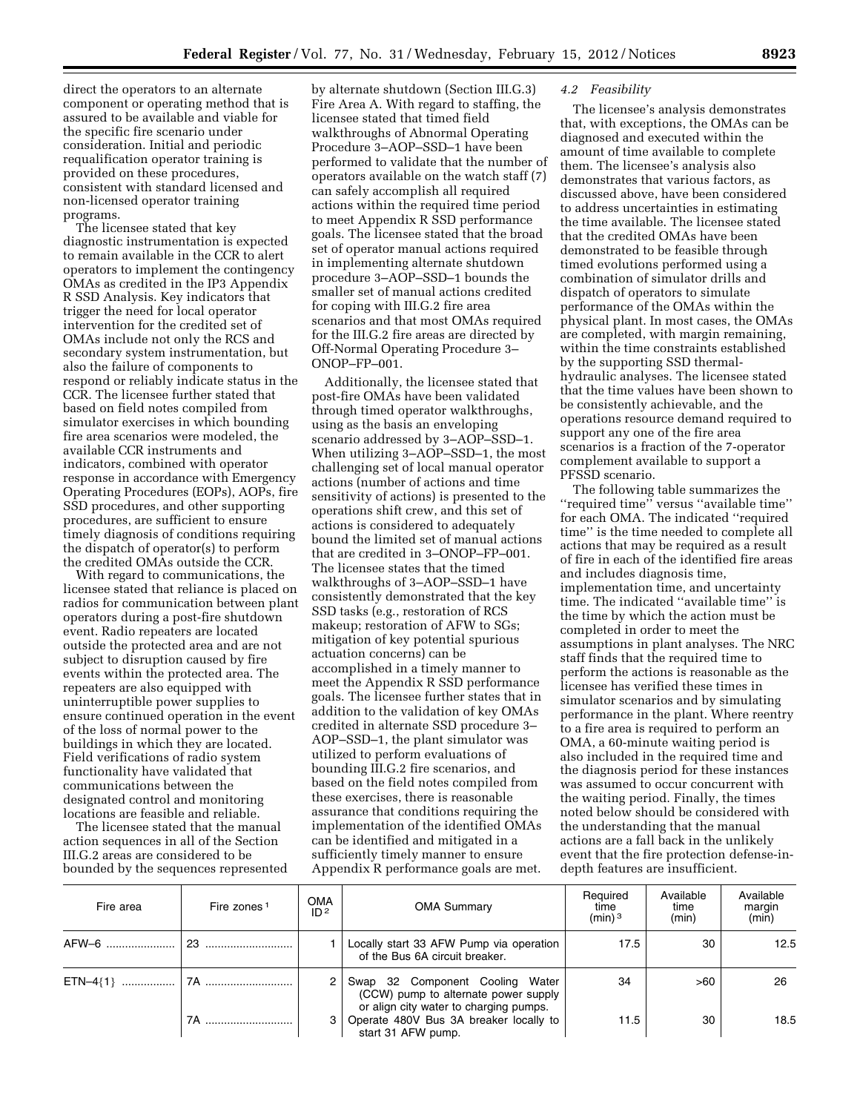direct the operators to an alternate component or operating method that is assured to be available and viable for the specific fire scenario under consideration. Initial and periodic requalification operator training is provided on these procedures, consistent with standard licensed and non-licensed operator training programs.

The licensee stated that key diagnostic instrumentation is expected to remain available in the CCR to alert operators to implement the contingency OMAs as credited in the IP3 Appendix R SSD Analysis. Key indicators that trigger the need for local operator intervention for the credited set of OMAs include not only the RCS and secondary system instrumentation, but also the failure of components to respond or reliably indicate status in the CCR. The licensee further stated that based on field notes compiled from simulator exercises in which bounding fire area scenarios were modeled, the available CCR instruments and indicators, combined with operator response in accordance with Emergency Operating Procedures (EOPs), AOPs, fire SSD procedures, and other supporting procedures, are sufficient to ensure timely diagnosis of conditions requiring the dispatch of operator(s) to perform the credited OMAs outside the CCR.

With regard to communications, the licensee stated that reliance is placed on radios for communication between plant operators during a post-fire shutdown event. Radio repeaters are located outside the protected area and are not subject to disruption caused by fire events within the protected area. The repeaters are also equipped with uninterruptible power supplies to ensure continued operation in the event of the loss of normal power to the buildings in which they are located. Field verifications of radio system functionality have validated that communications between the designated control and monitoring locations are feasible and reliable.

The licensee stated that the manual action sequences in all of the Section III.G.2 areas are considered to be bounded by the sequences represented

by alternate shutdown (Section III.G.3) Fire Area A. With regard to staffing, the licensee stated that timed field walkthroughs of Abnormal Operating Procedure 3–AOP–SSD–1 have been performed to validate that the number of operators available on the watch staff (7) can safely accomplish all required actions within the required time period to meet Appendix R SSD performance goals. The licensee stated that the broad set of operator manual actions required in implementing alternate shutdown procedure 3–AOP–SSD–1 bounds the smaller set of manual actions credited for coping with III.G.2 fire area scenarios and that most OMAs required for the III.G.2 fire areas are directed by Off-Normal Operating Procedure 3– ONOP–FP–001.

Additionally, the licensee stated that post-fire OMAs have been validated through timed operator walkthroughs, using as the basis an enveloping scenario addressed by 3–AOP–SSD–1. When utilizing 3–AOP–SSD–1, the most challenging set of local manual operator actions (number of actions and time sensitivity of actions) is presented to the operations shift crew, and this set of actions is considered to adequately bound the limited set of manual actions that are credited in 3–ONOP–FP–001. The licensee states that the timed walkthroughs of 3–AOP–SSD–1 have consistently demonstrated that the key SSD tasks (e.g., restoration of RCS makeup; restoration of AFW to SGs; mitigation of key potential spurious actuation concerns) can be accomplished in a timely manner to meet the Appendix R SSD performance goals. The licensee further states that in addition to the validation of key OMAs credited in alternate SSD procedure 3– AOP–SSD–1, the plant simulator was utilized to perform evaluations of bounding III.G.2 fire scenarios, and based on the field notes compiled from these exercises, there is reasonable assurance that conditions requiring the implementation of the identified OMAs can be identified and mitigated in a sufficiently timely manner to ensure Appendix R performance goals are met.

## *4.2 Feasibility*

The licensee's analysis demonstrates that, with exceptions, the OMAs can be diagnosed and executed within the amount of time available to complete them. The licensee's analysis also demonstrates that various factors, as discussed above, have been considered to address uncertainties in estimating the time available. The licensee stated that the credited OMAs have been demonstrated to be feasible through timed evolutions performed using a combination of simulator drills and dispatch of operators to simulate performance of the OMAs within the physical plant. In most cases, the OMAs are completed, with margin remaining, within the time constraints established by the supporting SSD thermalhydraulic analyses. The licensee stated that the time values have been shown to be consistently achievable, and the operations resource demand required to support any one of the fire area scenarios is a fraction of the 7-operator complement available to support a PFSSD scenario.

The following table summarizes the ''required time'' versus ''available time'' for each OMA. The indicated ''required time'' is the time needed to complete all actions that may be required as a result of fire in each of the identified fire areas and includes diagnosis time, implementation time, and uncertainty time. The indicated ''available time'' is the time by which the action must be completed in order to meet the assumptions in plant analyses. The NRC staff finds that the required time to perform the actions is reasonable as the licensee has verified these times in simulator scenarios and by simulating performance in the plant. Where reentry to a fire area is required to perform an OMA, a 60-minute waiting period is also included in the required time and the diagnosis period for these instances was assumed to occur concurrent with the waiting period. Finally, the times noted below should be considered with the understanding that the manual actions are a fall back in the unlikely event that the fire protection defense-indepth features are insufficient.

| Fire area | Fire zones <sup>1</sup> | <b>OMA</b><br>ID <sup>2</sup> | <b>OMA Summary</b>                                                                                                | Required<br>time<br>$(min)$ <sup>3</sup> | Available<br>time<br>(min) | Available<br>margin<br>(min) |
|-----------|-------------------------|-------------------------------|-------------------------------------------------------------------------------------------------------------------|------------------------------------------|----------------------------|------------------------------|
| AFW-6     | 23                      |                               | Locally start 33 AFW Pump via operation<br>of the Bus 6A circuit breaker.                                         | 17.5                                     | 30                         | 12.5                         |
|           |                         |                               | Swap 32 Component Cooling Water<br>(CCW) pump to alternate power supply<br>or align city water to charging pumps. | 34                                       | >60                        | 26                           |
|           |                         |                               | Operate 480V Bus 3A breaker locally to<br>start 31 AFW pump.                                                      | 11.5                                     | 30                         | 18.5                         |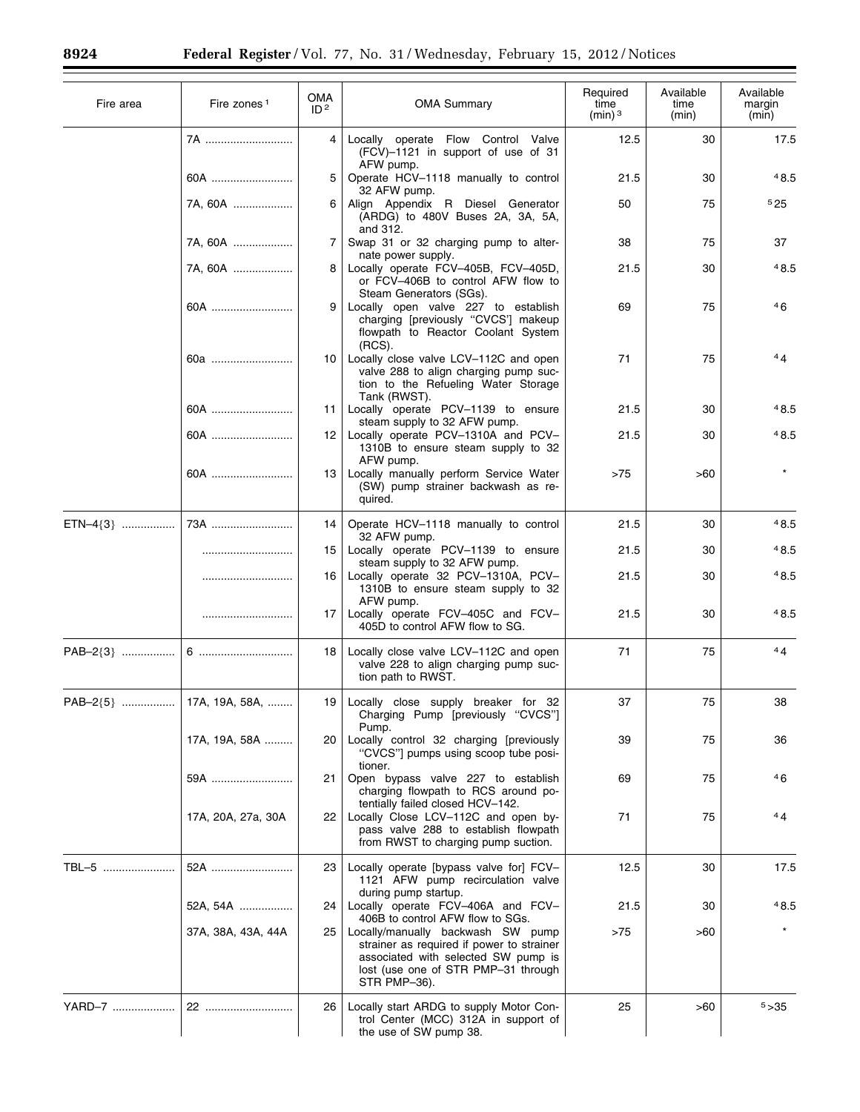| Fire area                  | Fire zones $1$     | OMA<br>ID <sup>2</sup> | <b>OMA Summary</b>                                                                                                                                                           | Required<br>time<br>(min) <sup>3</sup> | Available<br>time<br>(min) | Available<br>margin<br>(min) |
|----------------------------|--------------------|------------------------|------------------------------------------------------------------------------------------------------------------------------------------------------------------------------|----------------------------------------|----------------------------|------------------------------|
|                            | 7A                 | 4                      | Locally operate Flow Control Valve<br>(FCV)-1121 in support of use of 31<br>AFW pump.                                                                                        | 12.5                                   | 30                         | 17.5                         |
|                            | 60A                | 5                      | Operate HCV-1118 manually to control<br>32 AFW pump.                                                                                                                         | 21.5                                   | 30                         | 48.5                         |
|                            | 7A, 60A            | 6                      | Align Appendix R Diesel Generator<br>(ARDG) to 480V Buses 2A, 3A, 5A,<br>and 312.                                                                                            | 50                                     | 75                         | 525                          |
|                            | 7A. 60A            | $7^{\circ}$            | Swap 31 or 32 charging pump to alter-<br>nate power supply.                                                                                                                  | 38                                     | 75                         | 37                           |
|                            | 7A, 60A            | 8                      | Locally operate FCV-405B, FCV-405D,<br>or FCV-406B to control AFW flow to<br>Steam Generators (SGs).                                                                         | 21.5                                   | 30                         | 48.5                         |
|                            | 60A                | 9                      | Locally open valve 227 to establish<br>charging [previously "CVCS"] makeup<br>flowpath to Reactor Coolant System<br>$(RCS)$ .                                                | 69                                     | 75                         | 46                           |
|                            | 60a                | 10 <sub>1</sub>        | Locally close valve LCV-112C and open<br>valve 288 to align charging pump suc-<br>tion to the Refueling Water Storage<br>Tank (RWST).                                        | 71                                     | 75                         | 44                           |
|                            | 60A                | 11                     | Locally operate PCV-1139 to ensure<br>steam supply to 32 AFW pump.                                                                                                           | 21.5                                   | 30                         | 48.5                         |
|                            | 60A                | 12 <sub>1</sub>        | Locally operate PCV-1310A and PCV-<br>1310B to ensure steam supply to 32<br>AFW pump.                                                                                        | 21.5                                   | 30                         | 48.5                         |
|                            | 60A                |                        | 13   Locally manually perform Service Water<br>(SW) pump strainer backwash as re-<br>quired.                                                                                 | >75                                    | >60                        | $\star$                      |
| $ETN-4{3}$                 | 73A                | 14                     | Operate HCV-1118 manually to control                                                                                                                                         | 21.5                                   | 30                         | 48.5                         |
|                            |                    | 15                     | 32 AFW pump.<br>Locally operate PCV-1139 to ensure                                                                                                                           | 21.5                                   | 30                         | 48.5                         |
|                            |                    | 16.                    | steam supply to 32 AFW pump.<br>Locally operate 32 PCV-1310A, PCV-<br>1310B to ensure steam supply to 32<br>AFW pump.                                                        | 21.5                                   | 30                         | 48.5                         |
|                            |                    | 17                     | Locally operate FCV-405C and FCV-<br>405D to control AFW flow to SG.                                                                                                         | 21.5                                   | 30                         | 48.5                         |
| PAB-2{3}                   | 6                  | 18 <sup>1</sup>        | Locally close valve LCV-112C and open<br>valve 228 to align charging pump suc-<br>tion path to RWST.                                                                         | 71                                     | 75                         | 44                           |
| PAB-2{5}    17A, 19A, 58A, |                    |                        | 19 Locally close supply breaker for 32<br>Charging Pump [previously "CVCS"]<br>Pump.                                                                                         | 37                                     | 75                         | 38                           |
|                            | 17A, 19A, 58A      | 20                     | Locally control 32 charging [previously<br>"CVCS"] pumps using scoop tube posi-<br>tioner.                                                                                   | 39                                     | 75                         | 36                           |
|                            | 59A                | 21                     | Open bypass valve 227 to establish<br>charging flowpath to RCS around po-<br>tentially failed closed HCV-142.                                                                | 69                                     | 75                         | 46                           |
|                            | 17A, 20A, 27a, 30A | 22                     | Locally Close LCV-112C and open by-<br>pass valve 288 to establish flowpath<br>from RWST to charging pump suction.                                                           | 71                                     | 75                         | 44                           |
| TBL-5                      | 52A                | 23                     | Locally operate [bypass valve for] FCV-<br>1121 AFW pump recirculation valve<br>during pump startup.                                                                         | 12.5                                   | 30                         | 17.5                         |
|                            | 52A, 54A           | 24                     | Locally operate FCV-406A and FCV-<br>406B to control AFW flow to SGs.                                                                                                        | 21.5                                   | 30                         | 48.5                         |
|                            | 37A, 38A, 43A, 44A | 25                     | Locally/manually backwash SW pump<br>strainer as required if power to strainer<br>associated with selected SW pump is<br>lost (use one of STR PMP-31 through<br>STR PMP-36). | >75                                    | >60                        |                              |
| YARD-7                     | 22                 | 26                     | Locally start ARDG to supply Motor Con-<br>trol Center (MCC) 312A in support of<br>the use of SW pump 38.                                                                    | 25                                     | >60                        | 5 > 35                       |

 $\equiv$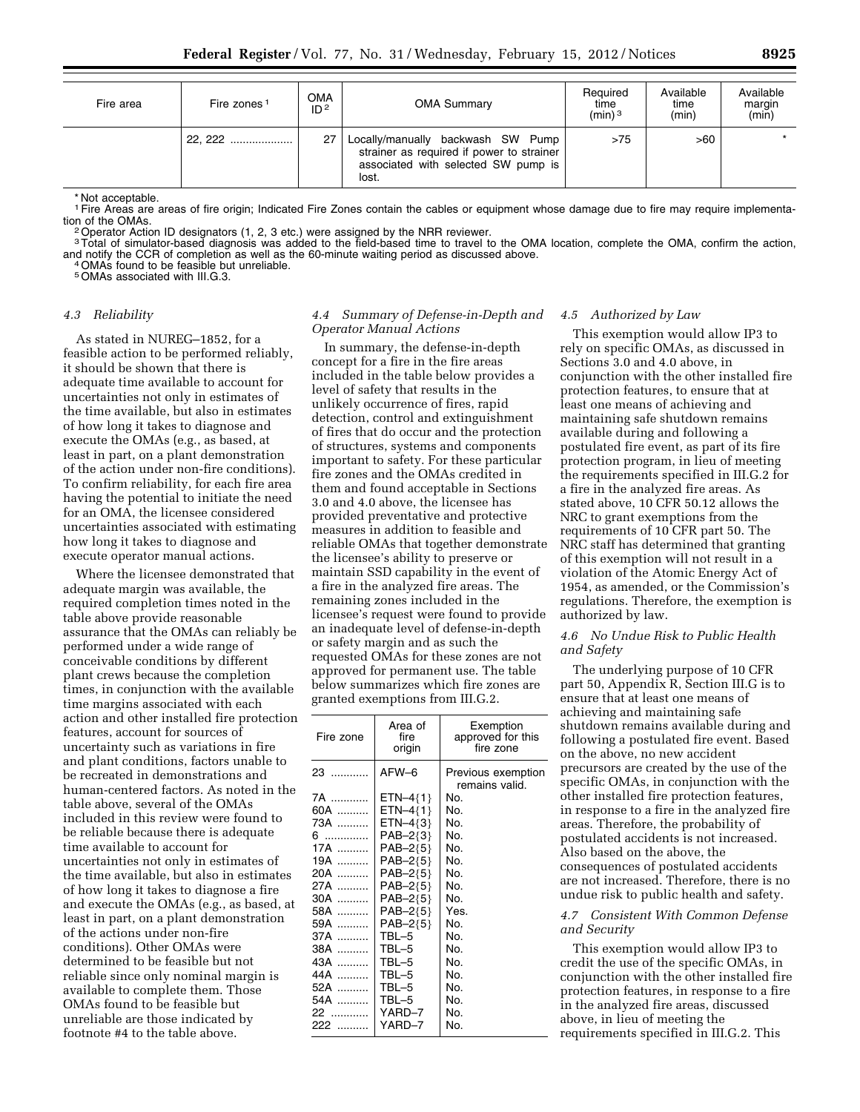| Fire area | Fire zones <sup>1</sup> | <b>OMA</b><br>ID <sup>2</sup> | <b>OMA Summary</b>                                                                                                             | Required<br>time<br>$(min)^3$ | Available<br>time<br>(min) | Available<br>margin<br>(min) |
|-----------|-------------------------|-------------------------------|--------------------------------------------------------------------------------------------------------------------------------|-------------------------------|----------------------------|------------------------------|
|           | 22. 222                 | 27                            | Locally/manually backwash SW Pump<br>strainer as required if power to strainer<br>associated with selected SW pump is<br>lost. | >75                           | >60                        |                              |

\* Not acceptable.

<sup>1</sup> Fire Areas are areas of fire origin; Indicated Fire Zones contain the cables or equipment whose damage due to fire may require implementa-<br>tion of the OMAs

<sup>2</sup> Operator Action ID designators  $(1, 2, 3$  etc.) were assigned by the NRR reviewer.

3Total of simulator-based diagnosis was added to the field-based time to travel to the OMA location, complete the OMA, confirm the action, and notify the CCR of completion as well as the 60-minute waiting period as discussed above.<br><sup>4</sup>OMAs found to be feasible but unreliable.

5OMAs associated with III.G.3.

#### *4.3 Reliability*

As stated in NUREG–1852, for a feasible action to be performed reliably, it should be shown that there is adequate time available to account for uncertainties not only in estimates of the time available, but also in estimates of how long it takes to diagnose and execute the OMAs (e.g., as based, at least in part, on a plant demonstration of the action under non-fire conditions). To confirm reliability, for each fire area having the potential to initiate the need for an OMA, the licensee considered uncertainties associated with estimating how long it takes to diagnose and execute operator manual actions.

Where the licensee demonstrated that adequate margin was available, the required completion times noted in the table above provide reasonable assurance that the OMAs can reliably be performed under a wide range of conceivable conditions by different plant crews because the completion times, in conjunction with the available time margins associated with each action and other installed fire protection features, account for sources of uncertainty such as variations in fire and plant conditions, factors unable to be recreated in demonstrations and human-centered factors. As noted in the table above, several of the OMAs included in this review were found to be reliable because there is adequate time available to account for uncertainties not only in estimates of the time available, but also in estimates of how long it takes to diagnose a fire and execute the OMAs (e.g., as based, at least in part, on a plant demonstration of the actions under non-fire conditions). Other OMAs were determined to be feasible but not reliable since only nominal margin is available to complete them. Those OMAs found to be feasible but unreliable are those indicated by footnote #4 to the table above.

# *4.4 Summary of Defense-in-Depth and Operator Manual Actions*

In summary, the defense-in-depth concept for a fire in the fire areas included in the table below provides a level of safety that results in the unlikely occurrence of fires, rapid detection, control and extinguishment of fires that do occur and the protection of structures, systems and components important to safety. For these particular fire zones and the OMAs credited in them and found acceptable in Sections 3.0 and 4.0 above, the licensee has provided preventative and protective measures in addition to feasible and reliable OMAs that together demonstrate the licensee's ability to preserve or maintain SSD capability in the event of a fire in the analyzed fire areas. The remaining zones included in the licensee's request were found to provide an inadequate level of defense-in-depth or safety margin and as such the requested OMAs for these zones are not approved for permanent use. The table below summarizes which fire zones are granted exemptions from III.G.2.

| Fire zone | Area of<br>fire<br>origin | Exemption<br>approved for this<br>fire zone |
|-----------|---------------------------|---------------------------------------------|
| 23        | AFW-6                     | Previous exemption<br>remains valid.        |
| 7A        | $ETN-4{1}$                | No.                                         |
| 60A       | $ETN-4{1}$                | No.                                         |
| 73A       | $ETN-4{3}$                | No.                                         |
| 6         | PAB-2{3}                  | No.                                         |
| 17A       | PAB-2{5}                  | No.                                         |
| 19A       | PAB-2{5}                  | No.                                         |
| 20A       | PAB-2{5}                  | No.                                         |
| 27A       | PAB-2{5}                  | No.                                         |
| $30A$     | PAB-2{5}                  | No.                                         |
| 58A       | PAB-2{5}                  | Yes.                                        |
| 59A       | PAB-2{5}                  | No.                                         |
| 37A       | TBL-5                     | No.                                         |
| 38A       | TBL-5                     | No.                                         |
| 43A       | TBL-5                     | No.                                         |
| 44A       | TBL-5                     | No.                                         |
| 52A       | TBL-5                     | No.                                         |
| 54A       | TBL-5                     | No.                                         |
|           | YARD-7                    | No.                                         |
| 222       | YARD-7                    | No.                                         |

## *4.5 Authorized by Law*

This exemption would allow IP3 to rely on specific OMAs, as discussed in Sections 3.0 and 4.0 above, in conjunction with the other installed fire protection features, to ensure that at least one means of achieving and maintaining safe shutdown remains available during and following a postulated fire event, as part of its fire protection program, in lieu of meeting the requirements specified in III.G.2 for a fire in the analyzed fire areas. As stated above, 10 CFR 50.12 allows the NRC to grant exemptions from the requirements of 10 CFR part 50. The NRC staff has determined that granting of this exemption will not result in a violation of the Atomic Energy Act of 1954, as amended, or the Commission's regulations. Therefore, the exemption is authorized by law.

## *4.6 No Undue Risk to Public Health and Safety*

The underlying purpose of 10 CFR part 50, Appendix R, Section III.G is to ensure that at least one means of achieving and maintaining safe shutdown remains available during and following a postulated fire event. Based on the above, no new accident precursors are created by the use of the specific OMAs, in conjunction with the other installed fire protection features, in response to a fire in the analyzed fire areas. Therefore, the probability of postulated accidents is not increased. Also based on the above, the consequences of postulated accidents are not increased. Therefore, there is no undue risk to public health and safety.

## *4.7 Consistent With Common Defense and Security*

This exemption would allow IP3 to credit the use of the specific OMAs, in conjunction with the other installed fire protection features, in response to a fire in the analyzed fire areas, discussed above, in lieu of meeting the requirements specified in III.G.2. This